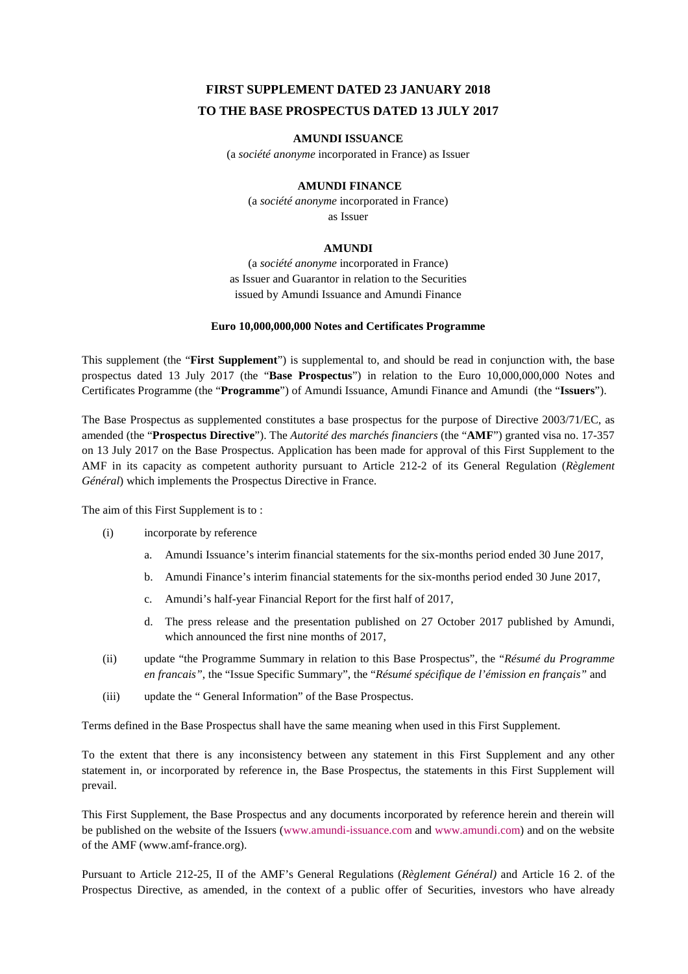# **FIRST SUPPLEMENT DATED 23 JANUARY 2018 TO THE BASE PROSPECTUS DATED 13 JULY 2017**

### **AMUNDI ISSUANCE**

(a *société anonyme* incorporated in France) as Issuer

### **AMUNDI FINANCE**

(a *société anonyme* incorporated in France) as Issuer

### **AMUNDI**

(a *société anonyme* incorporated in France) as Issuer and Guarantor in relation to the Securities issued by Amundi Issuance and Amundi Finance

#### **Euro 10,000,000,000 Notes and Certificates Programme**

This supplement (the "**First Supplement**") is supplemental to, and should be read in conjunction with, the base prospectus dated 13 July 2017 (the "**Base Prospectus**") in relation to the Euro 10,000,000,000 Notes and Certificates Programme (the "**Programme**") of Amundi Issuance, Amundi Finance and Amundi (the "**Issuers**").

The Base Prospectus as supplemented constitutes a base prospectus for the purpose of Directive 2003/71/EC, as amended (the "**Prospectus Directive**"). The *Autorité des marchés financiers* (the "**AMF**") granted visa no. 17-357 on 13 July 2017 on the Base Prospectus. Application has been made for approval of this First Supplement to the AMF in its capacity as competent authority pursuant to Article 212-2 of its General Regulation (*Règlement Général*) which implements the Prospectus Directive in France.

The aim of this First Supplement is to :

- (i) incorporate by reference
	- a. Amundi Issuance's interim financial statements for the six-months period ended 30 June 2017,
	- b. Amundi Finance's interim financial statements for the six-months period ended 30 June 2017,
	- c. Amundi's half-year Financial Report for the first half of 2017,
	- d. The press release and the presentation published on 27 October 2017 published by Amundi, which announced the first nine months of 2017,
- (ii) update "the Programme Summary in relation to this Base Prospectus", the "*Résumé du Programme en francais"*, the "Issue Specific Summary", the "*Résumé spécifique de l'émission en français"* and
- (iii) update the " General Information" of the Base Prospectus.

Terms defined in the Base Prospectus shall have the same meaning when used in this First Supplement.

To the extent that there is any inconsistency between any statement in this First Supplement and any other statement in, or incorporated by reference in, the Base Prospectus, the statements in this First Supplement will prevail.

This First Supplement, the Base Prospectus and any documents incorporated by reference herein and therein will be published on the website of the Issuers (www.amundi-issuance.com and www.amundi.com) and on the website of the AMF (www.amf-france.org).

Pursuant to Article 212-25, II of the AMF's General Regulations (*Règlement Général)* and Article 16 2. of the Prospectus Directive, as amended, in the context of a public offer of Securities, investors who have already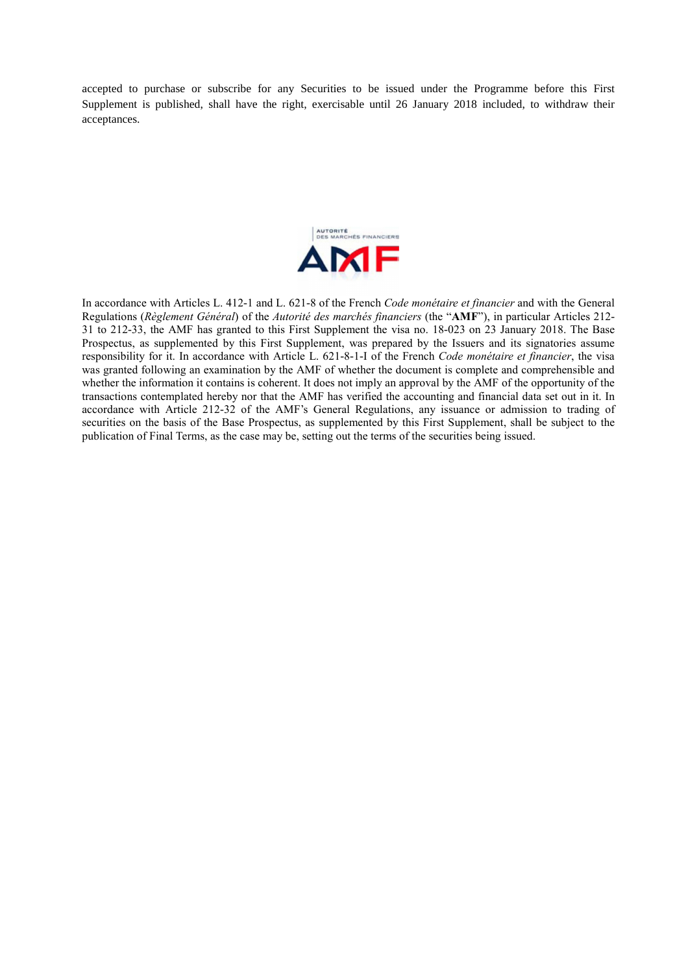accepted to purchase or subscribe for any Securities to be issued under the Programme before this First Supplement is published, shall have the right, exercisable until 26 January 2018 included, to withdraw their acceptances.



In accordance with Articles L. 412-1 and L. 621-8 of the French *Code monétaire et financier* and with the General Regulations (*Règlement Général*) of the *Autorité des marchés financiers* (the "**AMF**"), in particular Articles 212- 31 to 212-33, the AMF has granted to this First Supplement the visa no. 18-023 on 23 January 2018. The Base Prospectus, as supplemented by this First Supplement, was prepared by the Issuers and its signatories assume responsibility for it. In accordance with Article L. 621-8-1-I of the French *Code monétaire et financier*, the visa was granted following an examination by the AMF of whether the document is complete and comprehensible and whether the information it contains is coherent. It does not imply an approval by the AMF of the opportunity of the transactions contemplated hereby nor that the AMF has verified the accounting and financial data set out in it. In accordance with Article 212-32 of the AMF's General Regulations, any issuance or admission to trading of securities on the basis of the Base Prospectus, as supplemented by this First Supplement, shall be subject to the publication of Final Terms, as the case may be, setting out the terms of the securities being issued.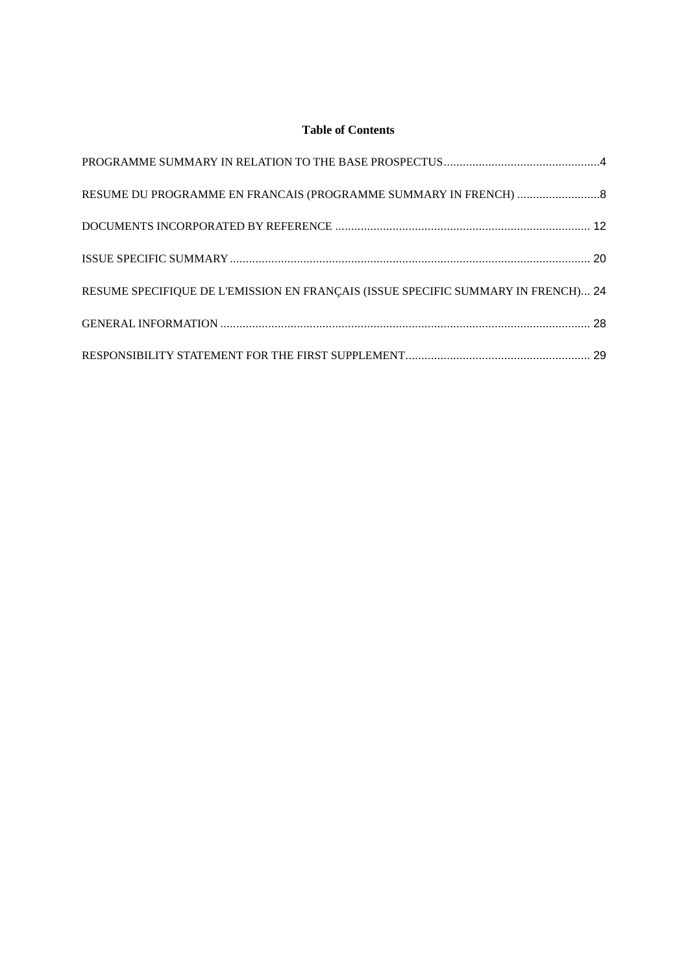# **Table of Contents**

| RESUME SPECIFIQUE DE L'EMISSION EN FRANÇAIS (ISSUE SPECIFIC SUMMARY IN FRENCH) 24 |  |
|-----------------------------------------------------------------------------------|--|
|                                                                                   |  |
|                                                                                   |  |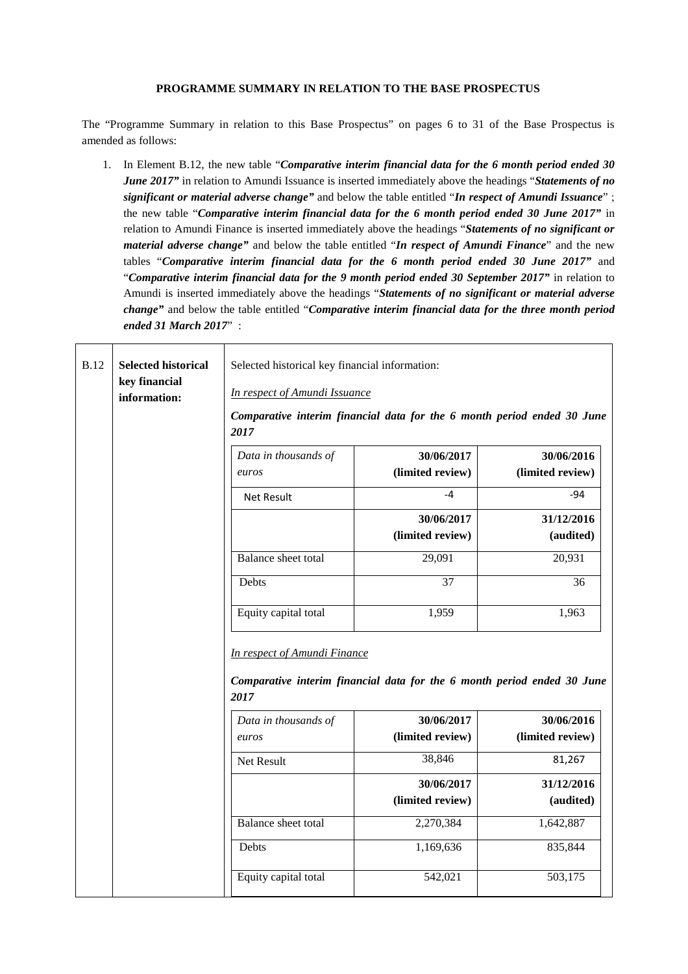### **PROGRAMME SUMMARY IN RELATION TO THE BASE PROSPECTUS**

The "Programme Summary in relation to this Base Prospectus" on pages 6 to 31 of the Base Prospectus is amended as follows:

1. In Element B.12, the new table "*Comparative interim financial data for the 6 month period ended 30 June 2017"* in relation to Amundi Issuance is inserted immediately above the headings "*Statements of no significant or material adverse change"* and below the table entitled "*In respect of Amundi Issuance*" ; the new table "*Comparative interim financial data for the 6 month period ended 30 June 2017"* in relation to Amundi Finance is inserted immediately above the headings "*Statements of no significant or material adverse change"* and below the table entitled "*In respect of Amundi Finance*" and the new tables "*Comparative interim financial data for the 6 month period ended 30 June 2017"* and "*Comparative interim financial data for the 9 month period ended 30 September 2017"* in relation to Amundi is inserted immediately above the headings "*Statements of no significant or material adverse change"* and below the table entitled "*Comparative interim financial data for the three month period ended 31 March 2017*" :

| <b>B.12</b> | <b>Selected historical</b><br>key financial<br>information: | Selected historical key financial information:<br>In respect of Amundi Issuance<br>2017<br>Data in thousands of<br>euros<br><b>Net Result</b><br>Balance sheet total | Comparative interim financial data for the 6 month period ended 30 June<br>30/06/2017<br>(limited review)<br>$-4$<br>30/06/2017<br>(limited review)<br>29,091 | 30/06/2016<br>(limited review)<br>$-94$<br>31/12/2016<br>(audited)<br>20,931 |
|-------------|-------------------------------------------------------------|----------------------------------------------------------------------------------------------------------------------------------------------------------------------|---------------------------------------------------------------------------------------------------------------------------------------------------------------|------------------------------------------------------------------------------|
|             |                                                             | Debts                                                                                                                                                                | 37                                                                                                                                                            |                                                                              |
|             |                                                             |                                                                                                                                                                      |                                                                                                                                                               | 36                                                                           |
|             |                                                             | Equity capital total                                                                                                                                                 | 1,959                                                                                                                                                         | 1,963                                                                        |
|             |                                                             | <b>In respect of Amundi Finance</b><br>2017                                                                                                                          | Comparative interim financial data for the 6 month period ended 30 June                                                                                       |                                                                              |
|             |                                                             | Data in thousands of                                                                                                                                                 | 30/06/2017                                                                                                                                                    | 30/06/2016                                                                   |
|             |                                                             | euros                                                                                                                                                                | (limited review)                                                                                                                                              | (limited review)                                                             |
|             |                                                             | Net Result                                                                                                                                                           | 38,846                                                                                                                                                        | 81,267                                                                       |
|             |                                                             |                                                                                                                                                                      | 30/06/2017                                                                                                                                                    | 31/12/2016                                                                   |
|             |                                                             |                                                                                                                                                                      | (limited review)                                                                                                                                              | (audited)                                                                    |
|             |                                                             | Balance sheet total                                                                                                                                                  | 2,270,384                                                                                                                                                     | 1,642,887                                                                    |
|             |                                                             | Debts                                                                                                                                                                | 1,169,636                                                                                                                                                     | 835,844                                                                      |
|             |                                                             | Equity capital total                                                                                                                                                 | 542,021                                                                                                                                                       | 503,175                                                                      |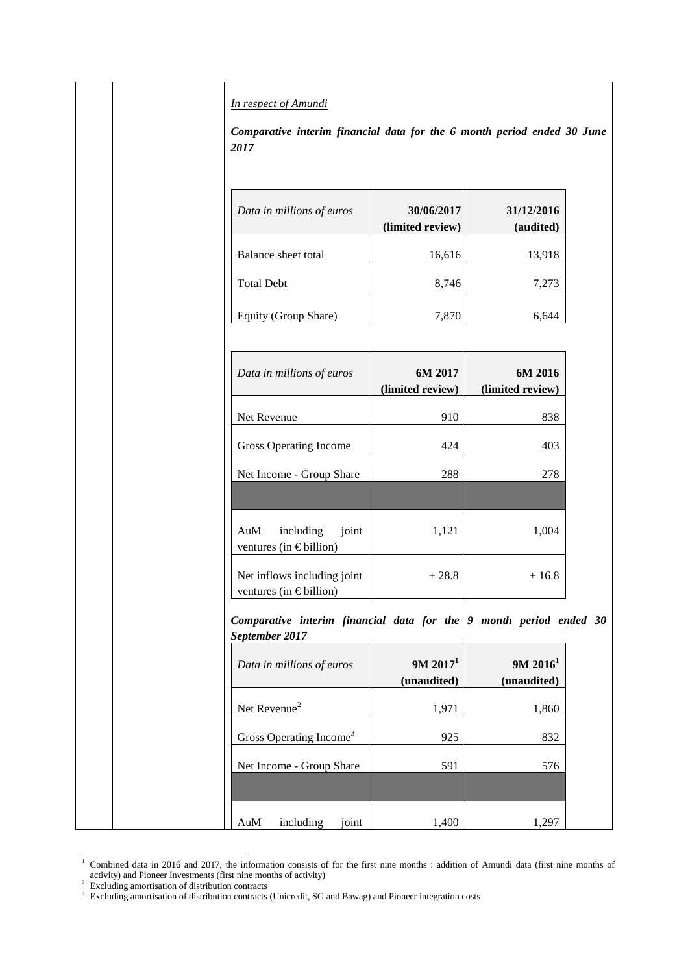*In respect of Amundi* 

*Comparative interim financial data for the 6 month period ended 30 June 2017*

| Data in millions of euros | 30/06/2017<br>(limited review) | 31/12/2016<br>(audited) |
|---------------------------|--------------------------------|-------------------------|
| Balance sheet total       | 16,616                         | 13,918                  |
| <b>Total Debt</b>         | 8,746                          | 7,273                   |
| Equity (Group Share)      | 7.870                          |                         |

| Data in millions of euros                                  | 6M 2017<br>(limited review) | 6M 2016<br>(limited review) |
|------------------------------------------------------------|-----------------------------|-----------------------------|
| Net Revenue                                                | 910                         | 838                         |
| Gross Operating Income                                     | 424                         | 403                         |
| Net Income - Group Share                                   | 288                         | 278                         |
|                                                            |                             |                             |
| AuM<br>including<br>joint<br>ventures (in $\in$ billion)   | 1,121                       | 1,004                       |
| Net inflows including joint<br>ventures (in $\in$ billion) | $+28.8$                     | $+16.8$                     |

*Comparative interim financial data for the 9 month period ended 30 September 2017*

| Data in millions of euros           | 9M 2017 <sup>1</sup><br>(unaudited) | 9M 2016 <sup>1</sup><br>(unaudited) |
|-------------------------------------|-------------------------------------|-------------------------------------|
| Net Revenue <sup>2</sup>            | 1,971                               | 1,860                               |
| Gross Operating Income <sup>3</sup> | 925                                 | 832                                 |
| Net Income - Group Share            | 591                                 | 576                                 |
|                                     |                                     |                                     |
| AuM<br>including<br>ioint           | 1,400                               | 1.297                               |

<sup>&</sup>lt;sup>1</sup> Combined data in 2016 and 2017, the information consists of for the first nine months : addition of Amundi data (first nine months of activity) and Pioneer Investments (first nine months of activity) 2 Excluding amortisation of distribution contracts

<sup>&</sup>lt;sup>3</sup> Excluding amortisation of distribution contracts (Unicredit, SG and Bawag) and Pioneer integration costs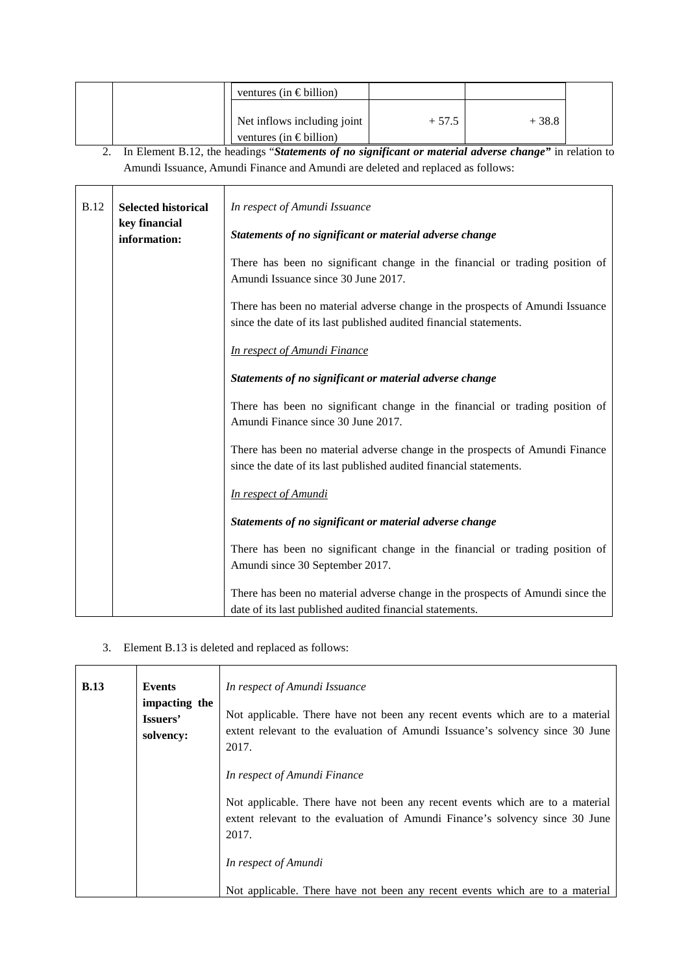|  | ventures (in $\in$ billion)      |         |         |  |
|--|----------------------------------|---------|---------|--|
|  | Net inflows including joint      | $+57.5$ | $+38.8$ |  |
|  | ventures (in $\epsilon$ billion) |         |         |  |

2. In Element B.12, the headings "*Statements of no significant or material adverse change"* in relation to Amundi Issuance, Amundi Finance and Amundi are deleted and replaced as follows:

| <b>B.12</b> | <b>Selected historical</b>    | In respect of Amundi Issuance                                                                                                                       |
|-------------|-------------------------------|-----------------------------------------------------------------------------------------------------------------------------------------------------|
|             | key financial<br>information: | Statements of no significant or material adverse change                                                                                             |
|             |                               | There has been no significant change in the financial or trading position of<br>Amundi Issuance since 30 June 2017.                                 |
|             |                               | There has been no material adverse change in the prospects of Amundi Issuance<br>since the date of its last published audited financial statements. |
|             |                               | <b>In respect of Amundi Finance</b>                                                                                                                 |
|             |                               | Statements of no significant or material adverse change                                                                                             |
|             |                               | There has been no significant change in the financial or trading position of<br>Amundi Finance since 30 June 2017.                                  |
|             |                               | There has been no material adverse change in the prospects of Amundi Finance<br>since the date of its last published audited financial statements.  |
|             |                               | <b>In respect of Amundi</b>                                                                                                                         |
|             |                               | Statements of no significant or material adverse change                                                                                             |
|             |                               | There has been no significant change in the financial or trading position of<br>Amundi since 30 September 2017.                                     |
|             |                               | There has been no material adverse change in the prospects of Amundi since the<br>date of its last published audited financial statements.          |

3. Element B.13 is deleted and replaced as follows:

| <b>B.13</b> | Events<br>impacting the<br>Issuers'<br>solvency: | In respect of Amundi Issuance<br>Not applicable. There have not been any recent events which are to a material<br>extent relevant to the evaluation of Amundi Issuance's solvency since 30 June<br>2017. |
|-------------|--------------------------------------------------|----------------------------------------------------------------------------------------------------------------------------------------------------------------------------------------------------------|
|             |                                                  | In respect of Amundi Finance                                                                                                                                                                             |
|             |                                                  | Not applicable. There have not been any recent events which are to a material<br>extent relevant to the evaluation of Amundi Finance's solvency since 30 June<br>2017.                                   |
|             |                                                  | In respect of Amundi                                                                                                                                                                                     |
|             |                                                  | Not applicable. There have not been any recent events which are to a material                                                                                                                            |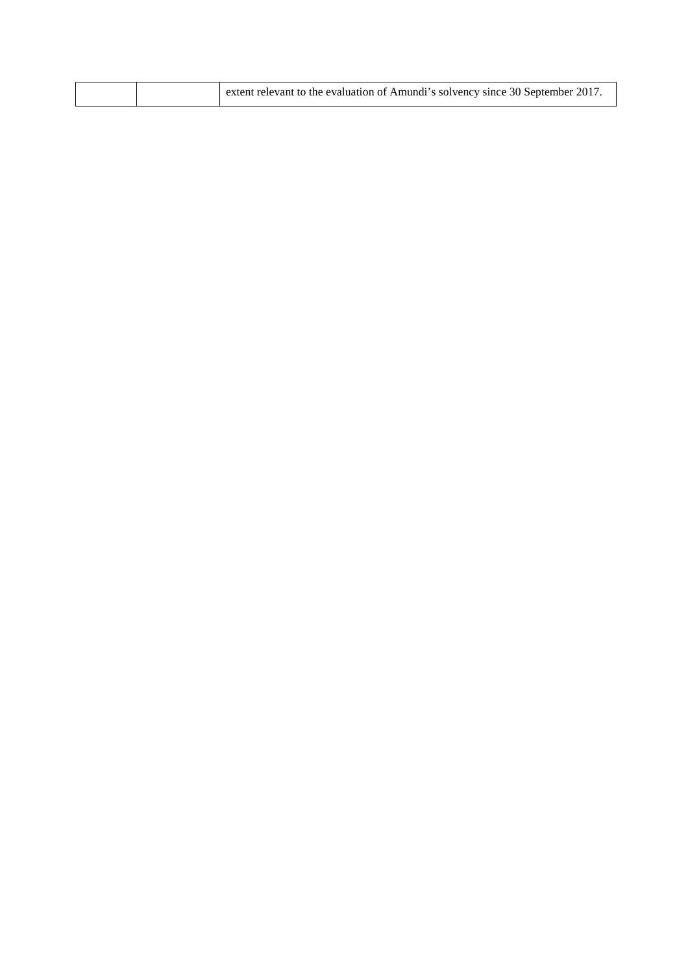| extent relevant to the evaluation of Amundi's solvency since 30 September 2017 |  |
|--------------------------------------------------------------------------------|--|
|                                                                                |  |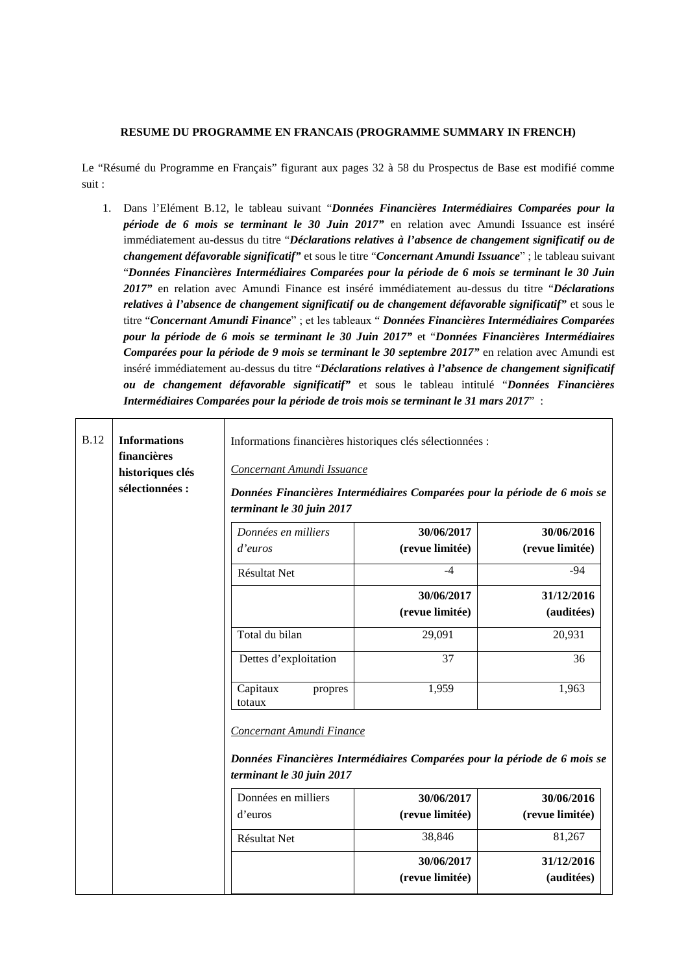### **RESUME DU PROGRAMME EN FRANCAIS (PROGRAMME SUMMARY IN FRENCH)**

Le "Résumé du Programme en Français" figurant aux pages 32 à 58 du Prospectus de Base est modifié comme suit :

1. Dans l'Elément B.12, le tableau suivant "*Données Financières Intermédiaires Comparées pour la période de 6 mois se terminant le 30 Juin 2017"* en relation avec Amundi Issuance est inséré immédiatement au-dessus du titre "*Déclarations relatives à l'absence de changement significatif ou de changement défavorable significatif"* et sous le titre "*Concernant Amundi Issuance*" ; le tableau suivant "*Données Financières Intermédiaires Comparées pour la période de 6 mois se terminant le 30 Juin 2017"* en relation avec Amundi Finance est inséré immédiatement au-dessus du titre "*Déclarations relatives à l'absence de changement significatif ou de changement défavorable significatif"* et sous le titre "*Concernant Amundi Finance*" ; et les tableaux " *Données Financières Intermédiaires Comparées pour la période de 6 mois se terminant le 30 Juin 2017"* et "*Données Financières Intermédiaires Comparées pour la période de 9 mois se terminant le 30 septembre 2017"* en relation avec Amundi est inséré immédiatement au-dessus du titre "*Déclarations relatives à l'absence de changement significatif ou de changement défavorable significatif"* et sous le tableau intitulé "*Données Financières Intermédiaires Comparées pour la période de trois mois se terminant le 31 mars 2017*" :

| <b>B.12</b> | <b>Informations</b><br>financières<br>historiques clés<br>sélectionnées : | Informations financières historiques clés sélectionnées :<br>Concernant Amundi Issuance<br>Données Financières Intermédiaires Comparées pour la période de 6 mois se<br>terminant le 30 juin 2017 |                                                       |                                                       |
|-------------|---------------------------------------------------------------------------|---------------------------------------------------------------------------------------------------------------------------------------------------------------------------------------------------|-------------------------------------------------------|-------------------------------------------------------|
|             |                                                                           | Données en milliers<br>d'euros                                                                                                                                                                    | 30/06/2017<br>(revue limitée)                         | 30/06/2016<br>(revue limitée)                         |
|             |                                                                           | Résultat Net                                                                                                                                                                                      | $-4$                                                  | $-94$                                                 |
|             |                                                                           |                                                                                                                                                                                                   | 30/06/2017<br>(revue limitée)                         | 31/12/2016<br>(auditées)                              |
|             |                                                                           | Total du bilan                                                                                                                                                                                    | 29,091                                                | 20,931                                                |
|             |                                                                           | Dettes d'exploitation                                                                                                                                                                             | 37                                                    | 36                                                    |
|             |                                                                           | Capitaux<br>propres<br>totaux                                                                                                                                                                     | 1,959                                                 | 1,963                                                 |
|             |                                                                           | Concernant Amundi Finance<br>Données Financières Intermédiaires Comparées pour la période de 6 mois se<br>terminant le 30 juin 2017<br>Données en milliers<br>d'euros<br>Résultat Net             | 30/06/2017<br>(revue limitée)<br>38,846<br>30/06/2017 | 30/06/2016<br>(revue limitée)<br>81,267<br>31/12/2016 |
|             |                                                                           |                                                                                                                                                                                                   | (revue limitée)                                       | (auditées)                                            |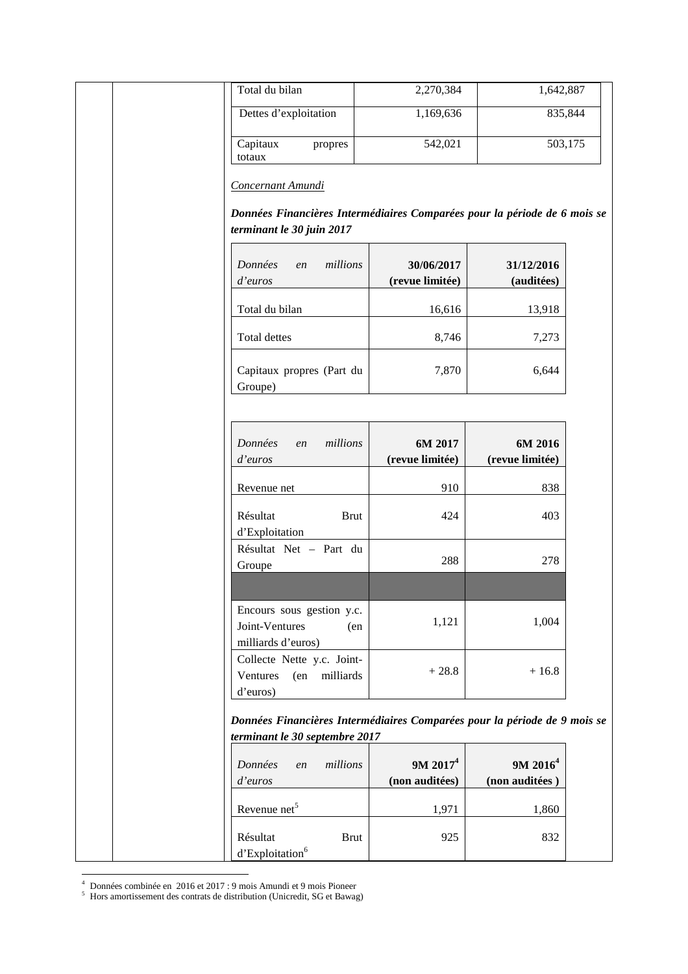| Total du bilan                                                                                              | 2,270,384                              | 1,642,887                              |         |
|-------------------------------------------------------------------------------------------------------------|----------------------------------------|----------------------------------------|---------|
| Dettes d'exploitation                                                                                       | 1,169,636                              |                                        | 835,844 |
| Capitaux<br>propres<br>totaux                                                                               | 542,021                                |                                        | 503,175 |
| Concernant Amundi                                                                                           |                                        |                                        |         |
| Données Financières Intermédiaires Comparées pour la période de 6 mois se<br>terminant le 30 juin 2017      |                                        |                                        |         |
| Données<br>millions<br>en<br>d'euros                                                                        | 30/06/2017<br>(revue limitée)          | 31/12/2016<br>(auditées)               |         |
| Total du bilan                                                                                              | 16,616                                 | 13,918                                 |         |
| <b>Total dettes</b>                                                                                         | 8,746                                  | 7,273                                  |         |
| Capitaux propres (Part du<br>Groupe)                                                                        | 7,870                                  | 6,644                                  |         |
| Données<br>millions<br>en<br>d'euros                                                                        | 6M 2017<br>(revue limitée)             | 6M 2016<br>(revue limitée)             |         |
| Revenue net                                                                                                 | 910                                    | 838                                    |         |
| Résultat<br><b>Brut</b><br>d'Exploitation                                                                   | 424                                    | 403                                    |         |
| Résultat Net - Part du<br>Groupe                                                                            | 288                                    | 278                                    |         |
| Encours sous gestion y.c.<br>Joint-Ventures<br>(en<br>milliards d'euros)                                    | 1,121                                  | 1,004                                  |         |
| Collecte Nette y.c. Joint-<br>Ventures<br>(en<br>milliards<br>d'euros)                                      | $+28.8$                                | $+16.8$                                |         |
| Données Financières Intermédiaires Comparées pour la période de 9 mois se<br>terminant le 30 septembre 2017 |                                        |                                        |         |
| millions<br>Données<br>en<br>d'euros                                                                        | 9M 2017 <sup>4</sup><br>(non auditées) | 9M 2016 <sup>4</sup><br>(non auditées) |         |
| Revenue net <sup>5</sup>                                                                                    | 1,971                                  | 1,860                                  |         |
| Résultat<br><b>Brut</b><br>d'Exploitation <sup>6</sup>                                                      | 925                                    | 832                                    |         |

4 Données combinée en 2016 et 2017 : 9 mois Amundi et 9 mois Pioneer 5 Hors amortissement des contrats de distribution (Unicredit, SG et Bawag)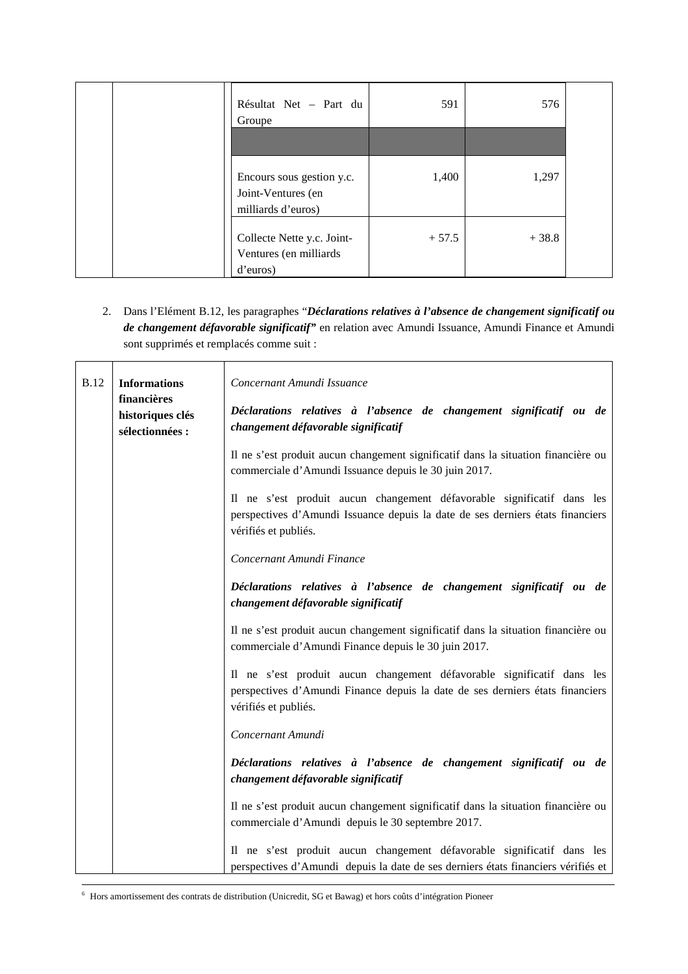| Résultat Net - Part du<br>Groupe                                      | 591     | 576     |  |
|-----------------------------------------------------------------------|---------|---------|--|
|                                                                       |         |         |  |
| Encours sous gestion y.c.<br>Joint-Ventures (en<br>milliards d'euros) | 1,400   | 1,297   |  |
| Collecte Nette y.c. Joint-<br>Ventures (en milliards<br>d'euros)      | $+57.5$ | $+38.8$ |  |

2. Dans l'Elément B.12, les paragraphes "*Déclarations relatives à l'absence de changement significatif ou de changement défavorable significatif"* en relation avec Amundi Issuance, Amundi Finance et Amundi sont supprimés et remplacés comme suit :

| <b>B.12</b>                         | <b>Informations</b><br>financières<br>historiques clés<br>sélectionnées :                                  | Concernant Amundi Issuance<br>Déclarations relatives à l'absence de changement significatif ou de<br>changement défavorable significatif                                         |  |
|-------------------------------------|------------------------------------------------------------------------------------------------------------|----------------------------------------------------------------------------------------------------------------------------------------------------------------------------------|--|
|                                     |                                                                                                            | Il ne s'est produit aucun changement significatif dans la situation financière ou<br>commerciale d'Amundi Issuance depuis le 30 juin 2017.                                       |  |
|                                     |                                                                                                            | Il ne s'est produit aucun changement défavorable significatif dans les<br>perspectives d'Amundi Issuance depuis la date de ses derniers états financiers<br>vérifiés et publiés. |  |
|                                     |                                                                                                            | Concernant Amundi Finance                                                                                                                                                        |  |
|                                     | Déclarations relatives à l'absence de changement significatif ou de<br>changement défavorable significatif |                                                                                                                                                                                  |  |
|                                     |                                                                                                            | Il ne s'est produit aucun changement significatif dans la situation financière ou<br>commerciale d'Amundi Finance depuis le 30 juin 2017.                                        |  |
|                                     |                                                                                                            | Il ne s'est produit aucun changement défavorable significatif dans les<br>perspectives d'Amundi Finance depuis la date de ses derniers états financiers<br>vérifiés et publiés.  |  |
|                                     |                                                                                                            | Concernant Amundi                                                                                                                                                                |  |
| changement défavorable significatif |                                                                                                            | Déclarations relatives à l'absence de changement significatif ou de                                                                                                              |  |
|                                     |                                                                                                            | Il ne s'est produit aucun changement significatif dans la situation financière ou<br>commerciale d'Amundi depuis le 30 septembre 2017.                                           |  |
|                                     |                                                                                                            | Il ne s'est produit aucun changement défavorable significatif dans les<br>perspectives d'Amundi depuis la date de ses derniers états financiers vérifiés et                      |  |

6 Hors amortissement des contrats de distribution (Unicredit, SG et Bawag) et hors coûts d'intégration Pioneer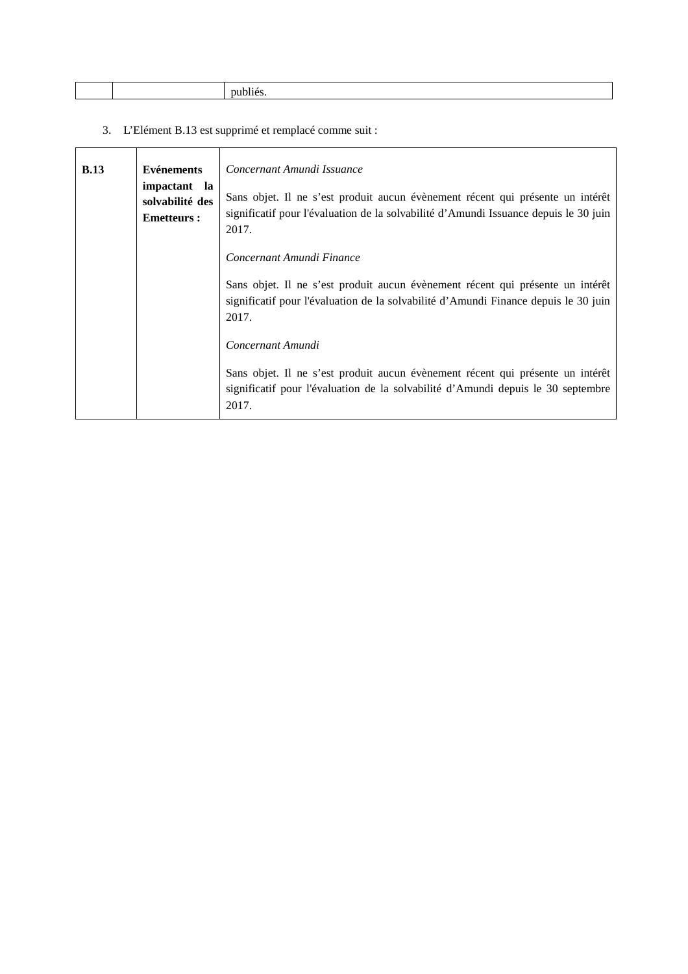3. L'Elément B.13 est supprimé et remplacé comme suit :

| B.13 | <b>Evénements</b><br>impactant la<br>solvabilité des<br><b>Emetteurs:</b> | Concernant Amundi Issuance<br>Sans objet. Il ne s'est produit aucun évènement récent qui présente un intérêt<br>significatif pour l'évaluation de la solvabilité d'Amundi Issuance depuis le 30 juin<br>2017. |
|------|---------------------------------------------------------------------------|---------------------------------------------------------------------------------------------------------------------------------------------------------------------------------------------------------------|
|      |                                                                           | Concernant Amundi Finance<br>Sans objet. Il ne s'est produit aucun évènement récent qui présente un intérêt<br>significatif pour l'évaluation de la solvabilité d'Amundi Finance depuis le 30 juin<br>2017.   |
|      |                                                                           | Concernant Amundi<br>Sans objet. Il ne s'est produit aucun évènement récent qui présente un intérêt<br>significatif pour l'évaluation de la solvabilité d'Amundi depuis le 30 septembre<br>2017.              |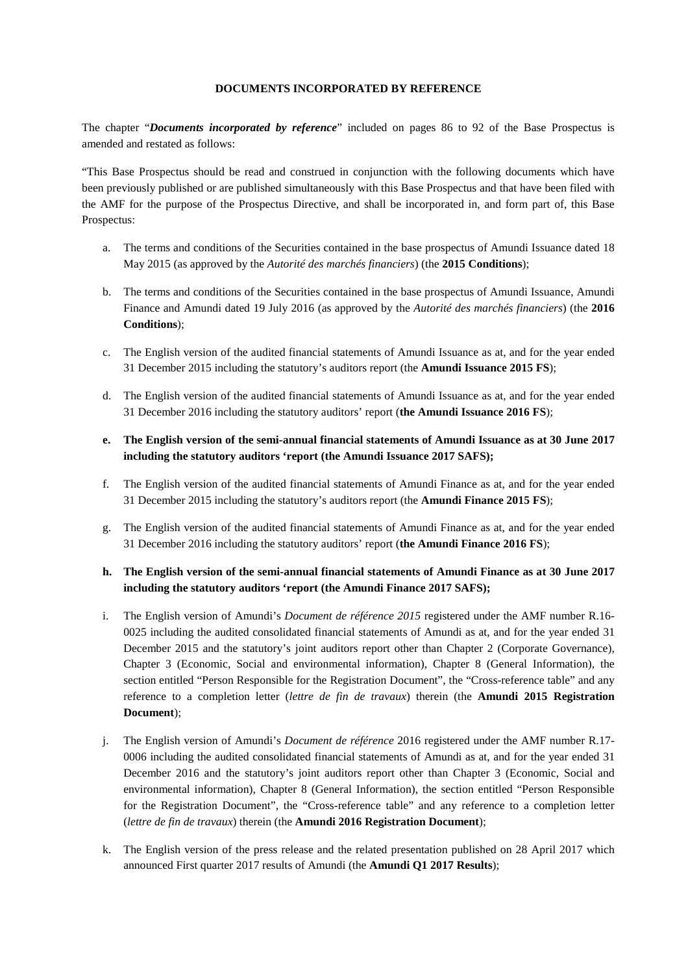### **DOCUMENTS INCORPORATED BY REFERENCE**

The chapter "*Documents incorporated by reference*" included on pages 86 to 92 of the Base Prospectus is amended and restated as follows:

"This Base Prospectus should be read and construed in conjunction with the following documents which have been previously published or are published simultaneously with this Base Prospectus and that have been filed with the AMF for the purpose of the Prospectus Directive, and shall be incorporated in, and form part of, this Base Prospectus:

- a. The terms and conditions of the Securities contained in the base prospectus of Amundi Issuance dated 18 May 2015 (as approved by the *Autorité des marchés financiers*) (the **2015 Conditions**);
- b. The terms and conditions of the Securities contained in the base prospectus of Amundi Issuance, Amundi Finance and Amundi dated 19 July 2016 (as approved by the *Autorité des marchés financiers*) (the **2016 Conditions**);
- c. The English version of the audited financial statements of Amundi Issuance as at, and for the year ended 31 December 2015 including the statutory's auditors report (the **Amundi Issuance 2015 FS**);
- d. The English version of the audited financial statements of Amundi Issuance as at, and for the year ended 31 December 2016 including the statutory auditors' report (**the Amundi Issuance 2016 FS**);
- **e. The English version of the semi-annual financial statements of Amundi Issuance as at 30 June 2017 including the statutory auditors 'report (the Amundi Issuance 2017 SAFS);**
- f. The English version of the audited financial statements of Amundi Finance as at, and for the year ended 31 December 2015 including the statutory's auditors report (the **Amundi Finance 2015 FS**);
- g. The English version of the audited financial statements of Amundi Finance as at, and for the year ended 31 December 2016 including the statutory auditors' report (**the Amundi Finance 2016 FS**);

### **h. The English version of the semi-annual financial statements of Amundi Finance as at 30 June 2017 including the statutory auditors 'report (the Amundi Finance 2017 SAFS);**

- i. The English version of Amundi's *Document de référence 2015* registered under the AMF number R.16- 0025 including the audited consolidated financial statements of Amundi as at, and for the year ended 31 December 2015 and the statutory's joint auditors report other than Chapter 2 (Corporate Governance), Chapter 3 (Economic, Social and environmental information), Chapter 8 (General Information), the section entitled "Person Responsible for the Registration Document", the "Cross-reference table" and any reference to a completion letter (*lettre de fin de travaux*) therein (the **Amundi 2015 Registration Document**);
- j. The English version of Amundi's *Document de référence* 2016 registered under the AMF number R.17- 0006 including the audited consolidated financial statements of Amundi as at, and for the year ended 31 December 2016 and the statutory's joint auditors report other than Chapter 3 (Economic, Social and environmental information), Chapter 8 (General Information), the section entitled "Person Responsible for the Registration Document", the "Cross-reference table" and any reference to a completion letter (*lettre de fin de travaux*) therein (the **Amundi 2016 Registration Document**);
- k. The English version of the press release and the related presentation published on 28 April 2017 which announced First quarter 2017 results of Amundi (the **Amundi Q1 2017 Results**);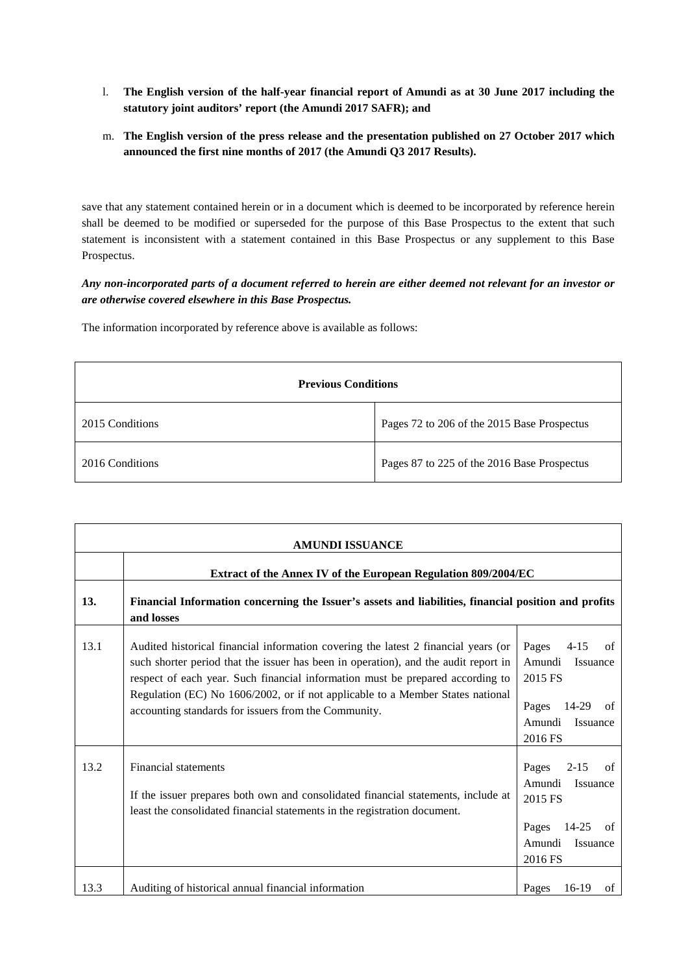- l. **The English version of the half-year financial report of Amundi as at 30 June 2017 including the statutory joint auditors' report (the Amundi 2017 SAFR); and**
- m. **The English version of the press release and the presentation published on 27 October 2017 which announced the first nine months of 2017 (the Amundi Q3 2017 Results).**

save that any statement contained herein or in a document which is deemed to be incorporated by reference herein shall be deemed to be modified or superseded for the purpose of this Base Prospectus to the extent that such statement is inconsistent with a statement contained in this Base Prospectus or any supplement to this Base Prospectus.

## *Any non-incorporated parts of a document referred to herein are either deemed not relevant for an investor or are otherwise covered elsewhere in this Base Prospectus.*

The information incorporated by reference above is available as follows:

| <b>Previous Conditions</b> |                                             |  |
|----------------------------|---------------------------------------------|--|
| 2015 Conditions            | Pages 72 to 206 of the 2015 Base Prospectus |  |
| 2016 Conditions            | Pages 87 to 225 of the 2016 Base Prospectus |  |

| <b>AMUNDI ISSUANCE</b> |                                                                                                                                                                                                                                                                                                                                                                                                       |                                                                                                                       |  |
|------------------------|-------------------------------------------------------------------------------------------------------------------------------------------------------------------------------------------------------------------------------------------------------------------------------------------------------------------------------------------------------------------------------------------------------|-----------------------------------------------------------------------------------------------------------------------|--|
|                        | Extract of the Annex IV of the European Regulation 809/2004/EC                                                                                                                                                                                                                                                                                                                                        |                                                                                                                       |  |
| 13.                    | Financial Information concerning the Issuer's assets and liabilities, financial position and profits<br>and losses                                                                                                                                                                                                                                                                                    |                                                                                                                       |  |
| 13.1                   | Audited historical financial information covering the latest 2 financial years (or<br>such shorter period that the issuer has been in operation), and the audit report in<br>respect of each year. Such financial information must be prepared according to<br>Regulation (EC) No 1606/2002, or if not applicable to a Member States national<br>accounting standards for issuers from the Community. | Pages<br>$4 - 15$<br>of<br>Amundi<br>Issuance<br>2015 FS<br>Pages<br>14-29<br>of<br>Amundi<br>Issuance<br>2016 FS     |  |
| 13.2                   | Financial statements<br>If the issuer prepares both own and consolidated financial statements, include at<br>least the consolidated financial statements in the registration document.                                                                                                                                                                                                                | Pages<br>$2 - 15$<br>of<br>Amundi<br>Issuance<br>2015 FS<br>Pages<br>$14 - 25$<br>of<br>Amundi<br>Issuance<br>2016 FS |  |
| 13.3                   | Auditing of historical annual financial information                                                                                                                                                                                                                                                                                                                                                   | 16-19<br>Pages<br>of                                                                                                  |  |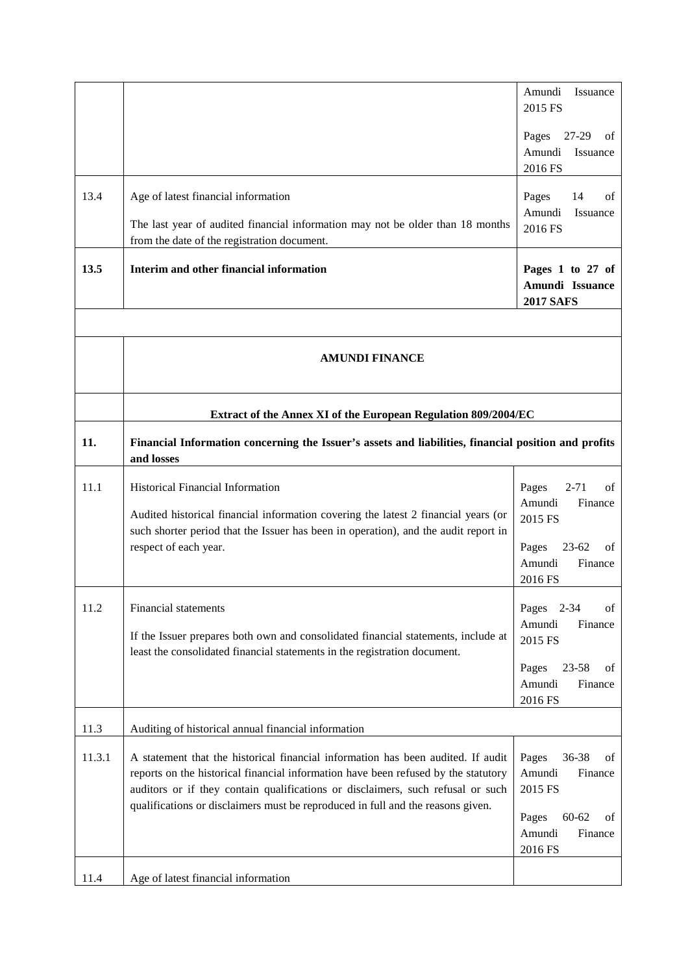|        |                                                                                                                                                                                                                                                                                                                                              | Amundi<br>Issuance<br>2015 FS                            |
|--------|----------------------------------------------------------------------------------------------------------------------------------------------------------------------------------------------------------------------------------------------------------------------------------------------------------------------------------------------|----------------------------------------------------------|
|        |                                                                                                                                                                                                                                                                                                                                              | Pages<br>27-29<br>οf<br>Amundi<br>Issuance<br>2016 FS    |
| 13.4   | Age of latest financial information                                                                                                                                                                                                                                                                                                          | Pages<br>14<br>of                                        |
|        | The last year of audited financial information may not be older than 18 months<br>from the date of the registration document.                                                                                                                                                                                                                | Amundi<br>Issuance<br>2016 FS                            |
| 13.5   | Interim and other financial information                                                                                                                                                                                                                                                                                                      | Pages 1 to 27 of<br>Amundi Issuance<br><b>2017 SAFS</b>  |
|        |                                                                                                                                                                                                                                                                                                                                              |                                                          |
|        | <b>AMUNDI FINANCE</b>                                                                                                                                                                                                                                                                                                                        |                                                          |
|        | Extract of the Annex XI of the European Regulation 809/2004/EC                                                                                                                                                                                                                                                                               |                                                          |
| 11.    | Financial Information concerning the Issuer's assets and liabilities, financial position and profits<br>and losses                                                                                                                                                                                                                           |                                                          |
| 11.1   | <b>Historical Financial Information</b>                                                                                                                                                                                                                                                                                                      | Pages<br>$2 - 71$<br>of<br>Amundi<br>Finance             |
|        | Audited historical financial information covering the latest 2 financial years (or<br>such shorter period that the Issuer has been in operation), and the audit report in                                                                                                                                                                    | 2015 FS                                                  |
|        | respect of each year.                                                                                                                                                                                                                                                                                                                        | Pages<br>$23 - 62$<br>οf<br>Amundi<br>Finance<br>2016 FS |
| 11.2   | Financial statements                                                                                                                                                                                                                                                                                                                         | $2 - 34$<br>Pages<br>of                                  |
|        | If the Issuer prepares both own and consolidated financial statements, include at<br>least the consolidated financial statements in the registration document.                                                                                                                                                                               | Amundi<br>Finance<br>2015 FS                             |
|        |                                                                                                                                                                                                                                                                                                                                              | $23 - 58$<br>Pages<br>οf<br>Amundi<br>Finance<br>2016 FS |
| 11.3   | Auditing of historical annual financial information                                                                                                                                                                                                                                                                                          |                                                          |
| 11.3.1 | A statement that the historical financial information has been audited. If audit<br>reports on the historical financial information have been refused by the statutory<br>auditors or if they contain qualifications or disclaimers, such refusal or such<br>qualifications or disclaimers must be reproduced in full and the reasons given. | Pages<br>36-38<br>οf<br>Amundi<br>Finance<br>2015 FS     |
|        |                                                                                                                                                                                                                                                                                                                                              | Pages<br>$60 - 62$<br>of<br>Amundi<br>Finance<br>2016 FS |
| 11.4   | Age of latest financial information                                                                                                                                                                                                                                                                                                          |                                                          |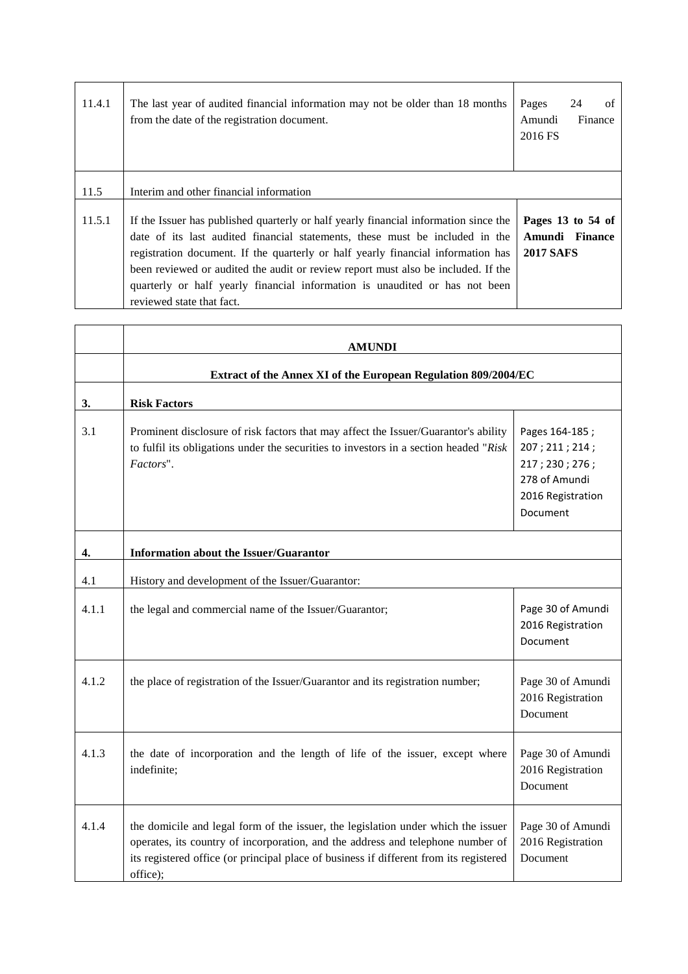| 11.4.1 | The last year of audited financial information may not be older than 18 months<br>from the date of the registration document.                                                                                                                                                                                                                                                                                                                             | Pages<br>24<br>of<br>Amundi<br>Finance<br>2016 FS       |
|--------|-----------------------------------------------------------------------------------------------------------------------------------------------------------------------------------------------------------------------------------------------------------------------------------------------------------------------------------------------------------------------------------------------------------------------------------------------------------|---------------------------------------------------------|
| 11.5   | Interim and other financial information                                                                                                                                                                                                                                                                                                                                                                                                                   |                                                         |
| 11.5.1 | If the Issuer has published quarterly or half yearly financial information since the<br>date of its last audited financial statements, these must be included in the<br>registration document. If the quarterly or half yearly financial information has<br>been reviewed or audited the audit or review report must also be included. If the<br>quarterly or half yearly financial information is unaudited or has not been<br>reviewed state that fact. | Pages 13 to 54 of<br>Amundi Finance<br><b>2017 SAFS</b> |

 $\overline{\phantom{0}}$ 

 $\blacksquare$ 

|       | <b>AMUNDI</b>                                                                                                                                                                                                                                                              |                                                                                                      |  |
|-------|----------------------------------------------------------------------------------------------------------------------------------------------------------------------------------------------------------------------------------------------------------------------------|------------------------------------------------------------------------------------------------------|--|
|       | Extract of the Annex XI of the European Regulation 809/2004/EC                                                                                                                                                                                                             |                                                                                                      |  |
| 3.    | <b>Risk Factors</b>                                                                                                                                                                                                                                                        |                                                                                                      |  |
| 3.1   | Prominent disclosure of risk factors that may affect the Issuer/Guarantor's ability<br>to fulfil its obligations under the securities to investors in a section headed "Risk<br>Factors".                                                                                  | Pages 164-185;<br>207; 211; 214;<br>217; 230; 276;<br>278 of Amundi<br>2016 Registration<br>Document |  |
| 4.    | Information about the Issuer/Guarantor                                                                                                                                                                                                                                     |                                                                                                      |  |
| 4.1   | History and development of the Issuer/Guarantor:                                                                                                                                                                                                                           |                                                                                                      |  |
| 4.1.1 | the legal and commercial name of the Issuer/Guarantor;                                                                                                                                                                                                                     | Page 30 of Amundi<br>2016 Registration<br>Document                                                   |  |
| 4.1.2 | the place of registration of the Issuer/Guarantor and its registration number;                                                                                                                                                                                             | Page 30 of Amundi<br>2016 Registration<br>Document                                                   |  |
| 4.1.3 | the date of incorporation and the length of life of the issuer, except where<br>indefinite;                                                                                                                                                                                | Page 30 of Amundi<br>2016 Registration<br>Document                                                   |  |
| 4.1.4 | the domicile and legal form of the issuer, the legislation under which the issuer<br>operates, its country of incorporation, and the address and telephone number of<br>its registered office (or principal place of business if different from its registered<br>office); | Page 30 of Amundi<br>2016 Registration<br>Document                                                   |  |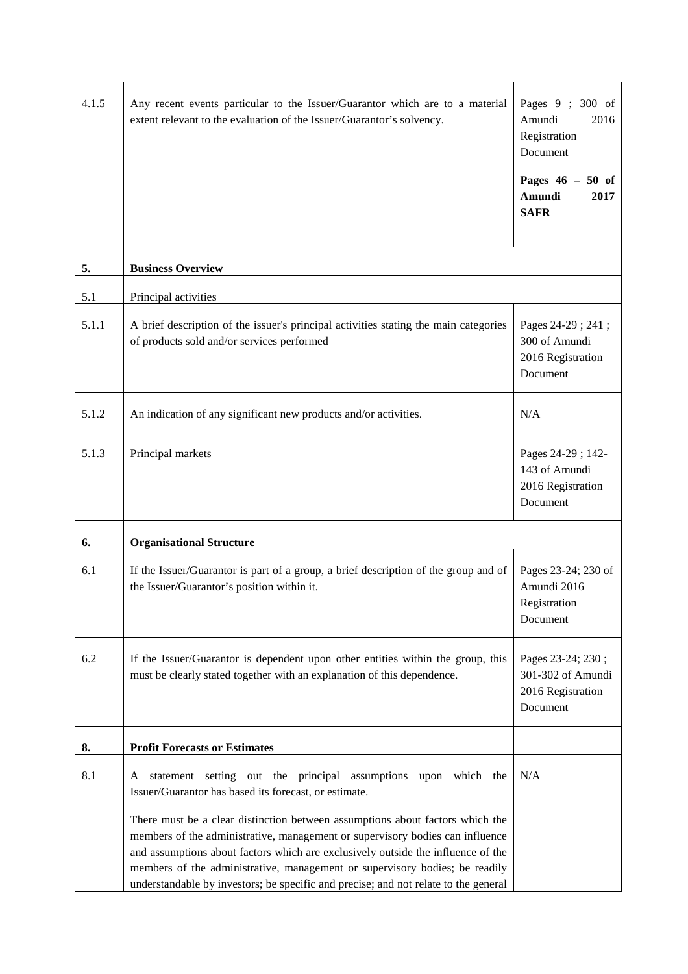| 4.1.5 | Any recent events particular to the Issuer/Guarantor which are to a material<br>extent relevant to the evaluation of the Issuer/Guarantor's solvency.                                                                                                                                                                                                                                                                                                                                                                                                    | Pages 9; 300 of<br>Amundi<br>2016<br>Registration<br>Document<br>Pages $46 - 50$ of<br>Amundi<br>2017<br><b>SAFR</b> |
|-------|----------------------------------------------------------------------------------------------------------------------------------------------------------------------------------------------------------------------------------------------------------------------------------------------------------------------------------------------------------------------------------------------------------------------------------------------------------------------------------------------------------------------------------------------------------|----------------------------------------------------------------------------------------------------------------------|
|       |                                                                                                                                                                                                                                                                                                                                                                                                                                                                                                                                                          |                                                                                                                      |
| 5.    | <b>Business Overview</b>                                                                                                                                                                                                                                                                                                                                                                                                                                                                                                                                 |                                                                                                                      |
| 5.1   | Principal activities                                                                                                                                                                                                                                                                                                                                                                                                                                                                                                                                     |                                                                                                                      |
| 5.1.1 | A brief description of the issuer's principal activities stating the main categories<br>of products sold and/or services performed                                                                                                                                                                                                                                                                                                                                                                                                                       | Pages 24-29; 241;<br>300 of Amundi<br>2016 Registration<br>Document                                                  |
| 5.1.2 | An indication of any significant new products and/or activities.                                                                                                                                                                                                                                                                                                                                                                                                                                                                                         | N/A                                                                                                                  |
| 5.1.3 | Principal markets                                                                                                                                                                                                                                                                                                                                                                                                                                                                                                                                        | Pages 24-29; 142-<br>143 of Amundi<br>2016 Registration<br>Document                                                  |
| 6.    | <b>Organisational Structure</b>                                                                                                                                                                                                                                                                                                                                                                                                                                                                                                                          |                                                                                                                      |
| 6.1   | If the Issuer/Guarantor is part of a group, a brief description of the group and of<br>the Issuer/Guarantor's position within it.                                                                                                                                                                                                                                                                                                                                                                                                                        | Pages 23-24; 230 of<br>Amundi 2016<br>Registration<br>Document                                                       |
| 6.2   | If the Issuer/Guarantor is dependent upon other entities within the group, this<br>must be clearly stated together with an explanation of this dependence.                                                                                                                                                                                                                                                                                                                                                                                               | Pages 23-24; 230;<br>301-302 of Amundi<br>2016 Registration<br>Document                                              |
| 8.    | <b>Profit Forecasts or Estimates</b>                                                                                                                                                                                                                                                                                                                                                                                                                                                                                                                     |                                                                                                                      |
| 8.1   | statement setting out the principal assumptions upon which the<br>A<br>Issuer/Guarantor has based its forecast, or estimate.<br>There must be a clear distinction between assumptions about factors which the<br>members of the administrative, management or supervisory bodies can influence<br>and assumptions about factors which are exclusively outside the influence of the<br>members of the administrative, management or supervisory bodies; be readily<br>understandable by investors; be specific and precise; and not relate to the general | N/A                                                                                                                  |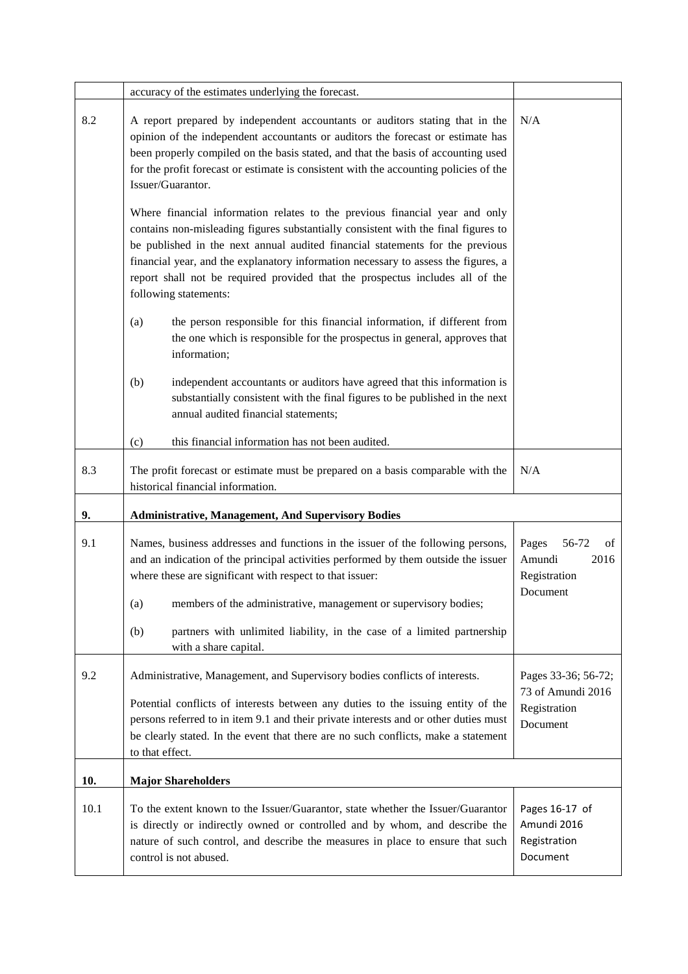|      | accuracy of the estimates underlying the forecast.                                                                                                                                                                                                                                                                                                                                                                                                 |                                                                      |
|------|----------------------------------------------------------------------------------------------------------------------------------------------------------------------------------------------------------------------------------------------------------------------------------------------------------------------------------------------------------------------------------------------------------------------------------------------------|----------------------------------------------------------------------|
| 8.2  | A report prepared by independent accountants or auditors stating that in the<br>opinion of the independent accountants or auditors the forecast or estimate has<br>been properly compiled on the basis stated, and that the basis of accounting used<br>for the profit forecast or estimate is consistent with the accounting policies of the<br>Issuer/Guarantor.                                                                                 | N/A                                                                  |
|      | Where financial information relates to the previous financial year and only<br>contains non-misleading figures substantially consistent with the final figures to<br>be published in the next annual audited financial statements for the previous<br>financial year, and the explanatory information necessary to assess the figures, a<br>report shall not be required provided that the prospectus includes all of the<br>following statements: |                                                                      |
|      | (a)<br>the person responsible for this financial information, if different from<br>the one which is responsible for the prospectus in general, approves that<br>information;                                                                                                                                                                                                                                                                       |                                                                      |
|      | (b)<br>independent accountants or auditors have agreed that this information is<br>substantially consistent with the final figures to be published in the next<br>annual audited financial statements;                                                                                                                                                                                                                                             |                                                                      |
|      | this financial information has not been audited.<br>(c)                                                                                                                                                                                                                                                                                                                                                                                            |                                                                      |
| 8.3  | The profit forecast or estimate must be prepared on a basis comparable with the<br>historical financial information.                                                                                                                                                                                                                                                                                                                               | N/A                                                                  |
| 9.   | <b>Administrative, Management, And Supervisory Bodies</b>                                                                                                                                                                                                                                                                                                                                                                                          |                                                                      |
| 9.1  | Names, business addresses and functions in the issuer of the following persons,<br>and an indication of the principal activities performed by them outside the issuer<br>where these are significant with respect to that issuer:<br>members of the administrative, management or supervisory bodies;<br>(a)                                                                                                                                       | Pages<br>56-72<br>οf<br>Amundi<br>2016<br>Registration<br>Document   |
|      | partners with unlimited liability, in the case of a limited partnership<br>(b)<br>with a share capital.                                                                                                                                                                                                                                                                                                                                            |                                                                      |
| 9.2  | Administrative, Management, and Supervisory bodies conflicts of interests.<br>Potential conflicts of interests between any duties to the issuing entity of the<br>persons referred to in item 9.1 and their private interests and or other duties must<br>be clearly stated. In the event that there are no such conflicts, make a statement<br>to that effect.                                                                                    | Pages 33-36; 56-72;<br>73 of Amundi 2016<br>Registration<br>Document |
| 10.  | <b>Major Shareholders</b>                                                                                                                                                                                                                                                                                                                                                                                                                          |                                                                      |
| 10.1 | To the extent known to the Issuer/Guarantor, state whether the Issuer/Guarantor<br>is directly or indirectly owned or controlled and by whom, and describe the<br>nature of such control, and describe the measures in place to ensure that such<br>control is not abused.                                                                                                                                                                         | Pages 16-17 of<br>Amundi 2016<br>Registration<br>Document            |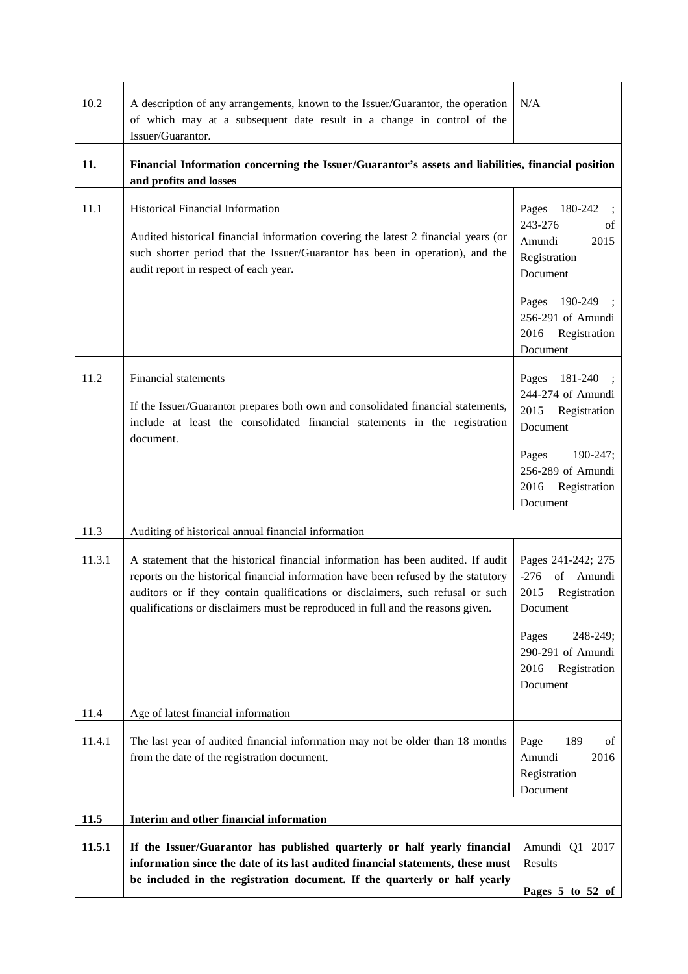| 10.2   | A description of any arrangements, known to the Issuer/Guarantor, the operation<br>of which may at a subsequent date result in a change in control of the<br>Issuer/Guarantor.                                                                                                                                                               | N/A                                                                                                                                                          |
|--------|----------------------------------------------------------------------------------------------------------------------------------------------------------------------------------------------------------------------------------------------------------------------------------------------------------------------------------------------|--------------------------------------------------------------------------------------------------------------------------------------------------------------|
| 11.    | Financial Information concerning the Issuer/Guarantor's assets and liabilities, financial position<br>and profits and losses                                                                                                                                                                                                                 |                                                                                                                                                              |
| 11.1   | Historical Financial Information<br>Audited historical financial information covering the latest 2 financial years (or<br>such shorter period that the Issuer/Guarantor has been in operation), and the<br>audit report in respect of each year.                                                                                             | 180-242<br>Pages<br>243-276<br>οf<br>2015<br>Amundi<br>Registration<br>Document<br>190-249<br>Pages<br>256-291 of Amundi<br>Registration<br>2016<br>Document |
| 11.2   | <b>Financial statements</b><br>If the Issuer/Guarantor prepares both own and consolidated financial statements,<br>include at least the consolidated financial statements in the registration<br>document.                                                                                                                                   | 181-240<br>Pages<br>244-274 of Amundi<br>Registration<br>2015<br>Document<br>190-247;<br>Pages<br>256-289 of Amundi<br>Registration<br>2016<br>Document      |
| 11.3   | Auditing of historical annual financial information                                                                                                                                                                                                                                                                                          |                                                                                                                                                              |
| 11.3.1 | A statement that the historical financial information has been audited. If audit<br>reports on the historical financial information have been refused by the statutory<br>auditors or if they contain qualifications or disclaimers, such refusal or such<br>qualifications or disclaimers must be reproduced in full and the reasons given. | Pages 241-242; 275<br>$-276$<br>of Amundi<br>2015<br>Registration<br>Document<br>248-249;<br>Pages<br>290-291 of Amundi<br>Registration<br>2016<br>Document  |
| 11.4   | Age of latest financial information                                                                                                                                                                                                                                                                                                          |                                                                                                                                                              |
| 11.4.1 | The last year of audited financial information may not be older than 18 months<br>from the date of the registration document.                                                                                                                                                                                                                | Page<br>189<br>of<br>2016<br>Amundi<br>Registration<br>Document                                                                                              |
| 11.5   | Interim and other financial information                                                                                                                                                                                                                                                                                                      |                                                                                                                                                              |
| 11.5.1 | If the Issuer/Guarantor has published quarterly or half yearly financial<br>information since the date of its last audited financial statements, these must<br>be included in the registration document. If the quarterly or half yearly                                                                                                     | Amundi Q1 2017<br>Results<br>Pages 5 to 52 of                                                                                                                |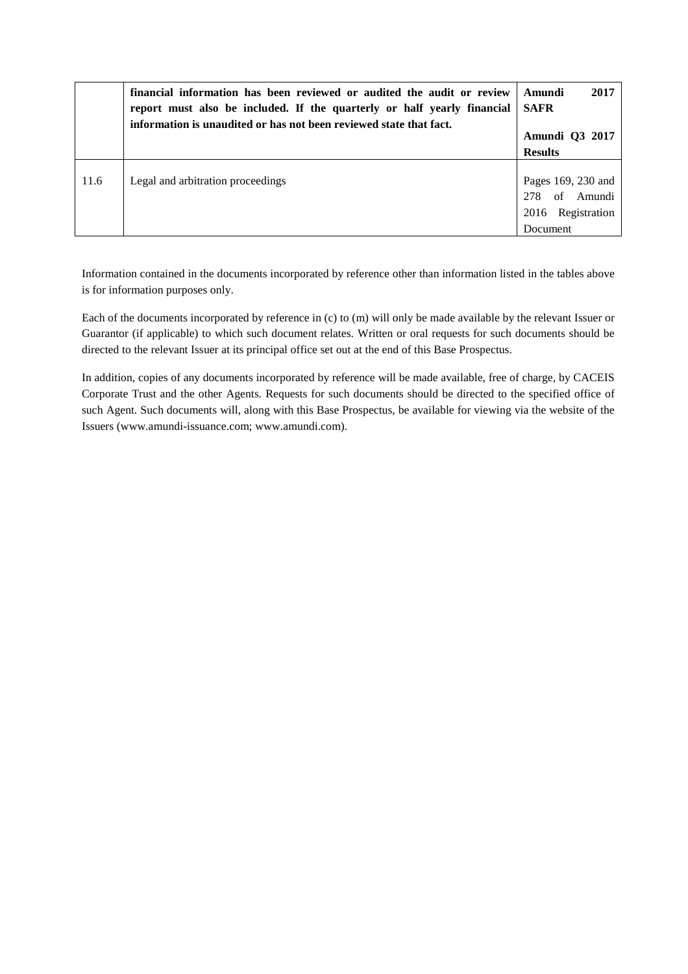|      | financial information has been reviewed or audited the audit or review<br>report must also be included. If the quarterly or half yearly financial<br>information is unaudited or has not been reviewed state that fact. | 2017<br>- Amundi<br><b>SAFR</b><br><b>Amundi</b> O3 2017<br><b>Results</b> |
|------|-------------------------------------------------------------------------------------------------------------------------------------------------------------------------------------------------------------------------|----------------------------------------------------------------------------|
| 11.6 | Legal and arbitration proceedings                                                                                                                                                                                       | Pages 169, 230 and<br>of Amundi<br>278<br>2016 Registration<br>Document    |

Information contained in the documents incorporated by reference other than information listed in the tables above is for information purposes only.

Each of the documents incorporated by reference in (c) to (m) will only be made available by the relevant Issuer or Guarantor (if applicable) to which such document relates. Written or oral requests for such documents should be directed to the relevant Issuer at its principal office set out at the end of this Base Prospectus.

In addition, copies of any documents incorporated by reference will be made available, free of charge, by CACEIS Corporate Trust and the other Agents. Requests for such documents should be directed to the specified office of such Agent. Such documents will, along with this Base Prospectus, be available for viewing via the website of the Issuers (www.amundi-issuance.com; www.amundi.com).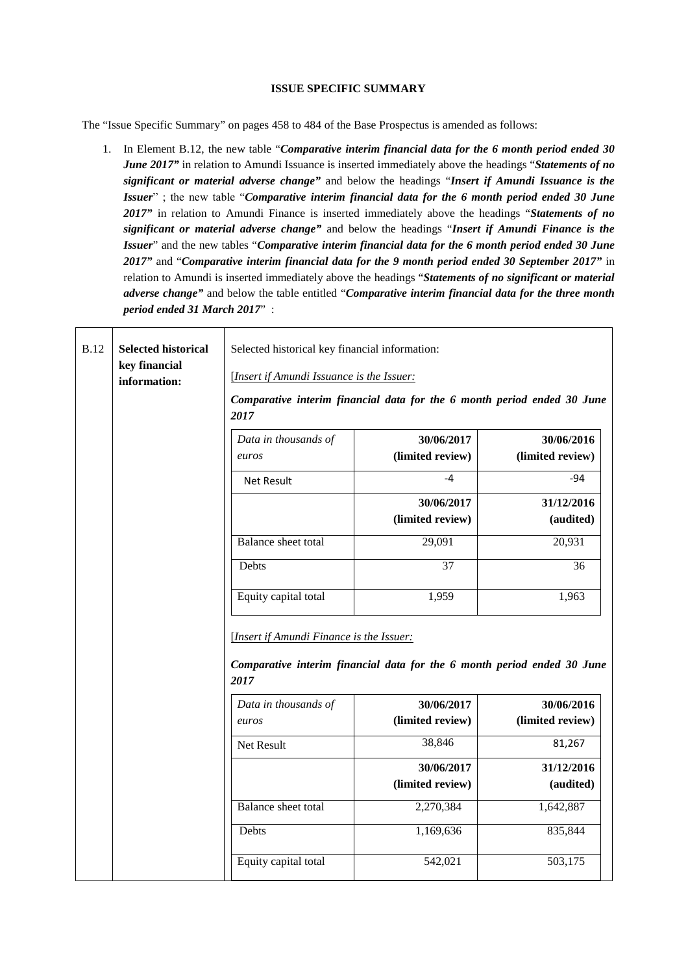### **ISSUE SPECIFIC SUMMARY**

The "Issue Specific Summary" on pages 458 to 484 of the Base Prospectus is amended as follows:

1. In Element B.12, the new table "*Comparative interim financial data for the 6 month period ended 30 June 2017"* in relation to Amundi Issuance is inserted immediately above the headings "*Statements of no significant or material adverse change"* and below the headings "*Insert if Amundi Issuance is the Issuer*" ; the new table "*Comparative interim financial data for the 6 month period ended 30 June 2017"* in relation to Amundi Finance is inserted immediately above the headings "*Statements of no significant or material adverse change"* and below the headings "*Insert if Amundi Finance is the Issuer*" and the new tables "*Comparative interim financial data for the 6 month period ended 30 June 2017"* and "*Comparative interim financial data for the 9 month period ended 30 September 2017"* in relation to Amundi is inserted immediately above the headings "*Statements of no significant or material adverse change"* and below the table entitled "*Comparative interim financial data for the three month period ended 31 March 2017*" :

| <b>B.12</b> | <b>Selected historical</b><br>key financial<br>information: | Selected historical key financial information:<br>[Insert if Amundi Issuance is the Issuer:<br>Comparative interim financial data for the 6 month period ended 30 June<br>2017<br>Data in thousands of | 30/06/2017       | 30/06/2016       |
|-------------|-------------------------------------------------------------|--------------------------------------------------------------------------------------------------------------------------------------------------------------------------------------------------------|------------------|------------------|
|             |                                                             | euros                                                                                                                                                                                                  | (limited review) | (limited review) |
|             |                                                             |                                                                                                                                                                                                        |                  |                  |
|             |                                                             | <b>Net Result</b>                                                                                                                                                                                      | $-4$             | -94              |
|             |                                                             |                                                                                                                                                                                                        | 30/06/2017       | 31/12/2016       |
|             |                                                             |                                                                                                                                                                                                        | (limited review) | (audited)        |
|             |                                                             | <b>Balance</b> sheet total                                                                                                                                                                             | 29,091           | 20,931           |
|             |                                                             | Debts                                                                                                                                                                                                  | $\overline{37}$  | 36               |
|             |                                                             | Equity capital total                                                                                                                                                                                   | 1,959            | 1,963            |
|             |                                                             | [Insert if Amundi Finance is the Issuer:<br>Comparative interim financial data for the 6 month period ended 30 June<br>2017                                                                            |                  |                  |
|             |                                                             | Data in thousands of                                                                                                                                                                                   | 30/06/2017       | 30/06/2016       |
|             |                                                             | euros                                                                                                                                                                                                  | (limited review) | (limited review) |
|             |                                                             | Net Result                                                                                                                                                                                             | 38,846           | 81,267           |
|             |                                                             |                                                                                                                                                                                                        | 30/06/2017       | 31/12/2016       |
|             |                                                             |                                                                                                                                                                                                        | (limited review) | (audited)        |
|             |                                                             | Balance sheet total                                                                                                                                                                                    | 2,270,384        | 1,642,887        |
|             |                                                             | Debts                                                                                                                                                                                                  | 1,169,636        | 835,844          |
|             |                                                             | Equity capital total                                                                                                                                                                                   | 542,021          | 503,175          |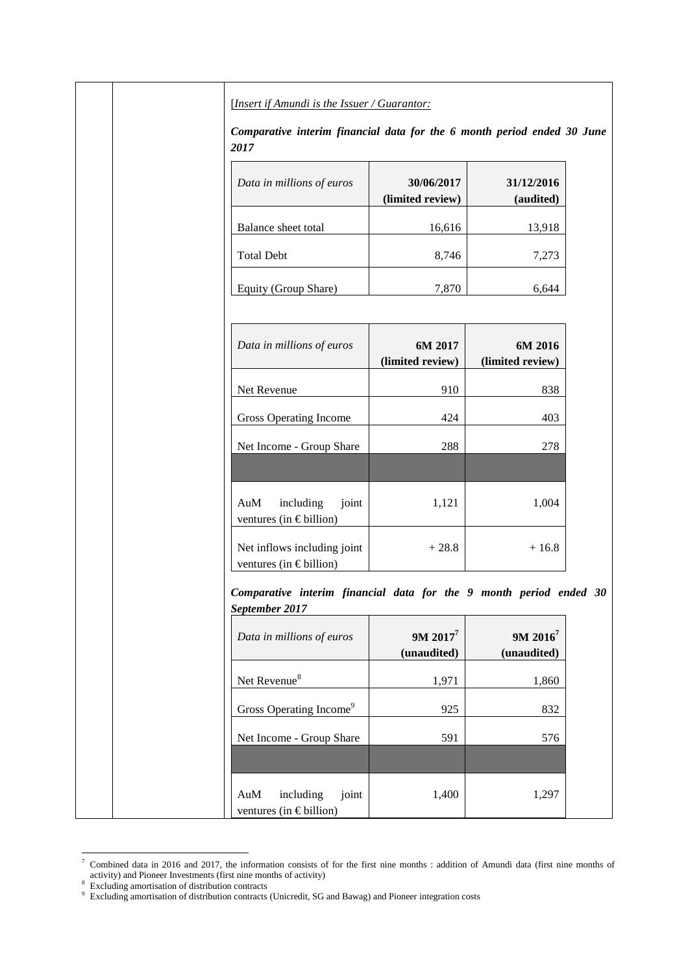[*Insert if Amundi is the Issuer / Guarantor:* 

*Comparative interim financial data for the 6 month period ended 30 June 2017*

| Data in millions of euros | 30/06/2017<br>(limited review) | 31/12/2016<br>(audited) |
|---------------------------|--------------------------------|-------------------------|
| Balance sheet total       | 16,616                         | 13,918                  |
| <b>Total Debt</b>         | 8,746                          | 7,273                   |
| Equity (Group Share)      | 7,870                          |                         |

| Data in millions of euros                              | 6M 2017<br>(limited review) | 6M 2016<br>(limited review) |
|--------------------------------------------------------|-----------------------------|-----------------------------|
| Net Revenue                                            | 910                         | 838                         |
| Gross Operating Income                                 | 424                         | 403                         |
| Net Income - Group Share                               | 288                         | 278                         |
|                                                        |                             |                             |
| AuM<br>including<br>joint<br>ventures (in € billion)   | 1,121                       | 1,004                       |
| Net inflows including joint<br>ventures (in € billion) | $+28.8$                     | $+16.8$                     |

*Comparative interim financial data for the 9 month period ended 30 September 2017*

| Data in millions of euros                                | $9M 2017^7$<br>(unaudited) | $9M 2016^7$<br>(unaudited) |
|----------------------------------------------------------|----------------------------|----------------------------|
| Net Revenue <sup>8</sup>                                 | 1,971                      | 1,860                      |
| Gross Operating Income <sup>9</sup>                      | 925                        | 832                        |
| Net Income - Group Share                                 | 591                        | 576                        |
|                                                          |                            |                            |
| AuM<br>including<br>joint<br>ventures (in $\in$ billion) | 1,400                      | 1,297                      |

<sup>&</sup>lt;sup>7</sup> Combined data in 2016 and 2017, the information consists of for the first nine months : addition of Amundi data (first nine months of activity) and Pioneer Investments (first nine months of activity) 8 Excluding amortisation of distribution contracts

<sup>9</sup> Excluding amortisation of distribution contracts (Unicredit, SG and Bawag) and Pioneer integration costs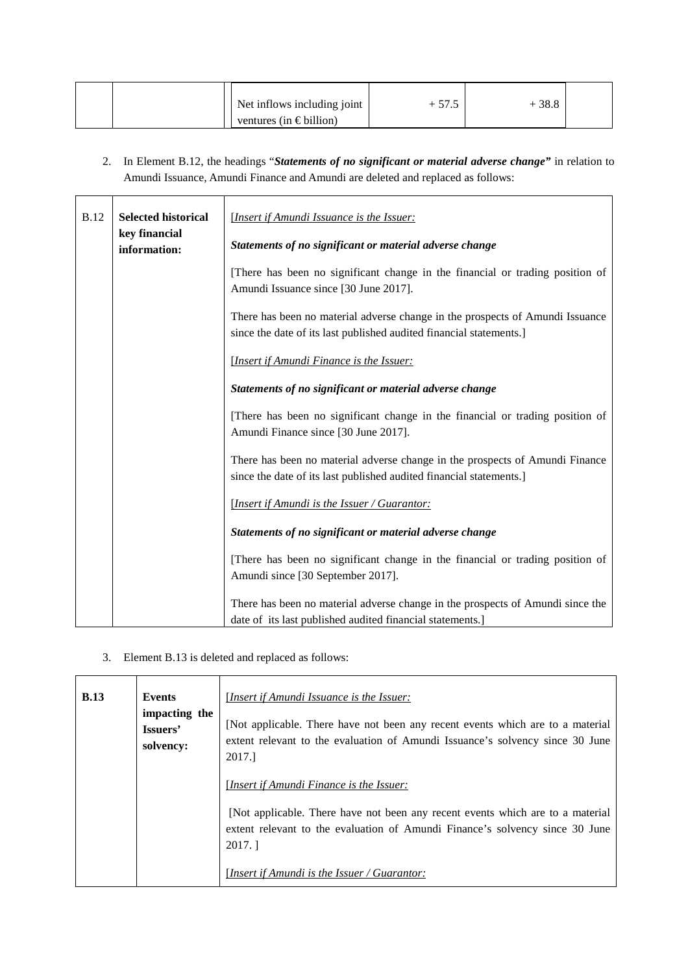| Net inflows including joint | ن ا | 38.8 |  |
|-----------------------------|-----|------|--|
| ventures (in $\in$ billion) |     |      |  |

2. In Element B.12, the headings "*Statements of no significant or material adverse change"* in relation to Amundi Issuance, Amundi Finance and Amundi are deleted and replaced as follows:

| <b>B.12</b> | <b>Selected historical</b>    | [Insert if Amundi Issuance is the Issuer:                                                                                                            |  |
|-------------|-------------------------------|------------------------------------------------------------------------------------------------------------------------------------------------------|--|
|             | key financial<br>information: | Statements of no significant or material adverse change                                                                                              |  |
|             |                               | [There has been no significant change in the financial or trading position of<br>Amundi Issuance since [30 June 2017].                               |  |
|             |                               | There has been no material adverse change in the prospects of Amundi Issuance<br>since the date of its last published audited financial statements.] |  |
|             |                               | [Insert if Amundi Finance is the Issuer:                                                                                                             |  |
|             |                               | Statements of no significant or material adverse change                                                                                              |  |
|             |                               | [There has been no significant change in the financial or trading position of<br>Amundi Finance since [30 June 2017].                                |  |
|             |                               | There has been no material adverse change in the prospects of Amundi Finance<br>since the date of its last published audited financial statements.]  |  |
|             |                               | <b>Insert if Amundi is the Issuer / Guarantor:</b>                                                                                                   |  |
|             |                               | Statements of no significant or material adverse change                                                                                              |  |
|             |                               | [There has been no significant change in the financial or trading position of<br>Amundi since [30 September 2017].                                   |  |
|             |                               | There has been no material adverse change in the prospects of Amundi since the<br>date of its last published audited financial statements.]          |  |

3. Element B.13 is deleted and replaced as follows:

| <b>B.13</b> | <b>Events</b><br>impacting the<br>Issuers'<br>solvency: | [Insert if Amundi Issuance is the Issuer:<br>[Not applicable. There have not been any recent events which are to a material<br>extent relevant to the evaluation of Amundi Issuance's solvency since 30 June<br>2017. |
|-------------|---------------------------------------------------------|-----------------------------------------------------------------------------------------------------------------------------------------------------------------------------------------------------------------------|
|             |                                                         | [Insert if Amundi Finance is the Issuer:                                                                                                                                                                              |
|             |                                                         | [Not applicable. There have not been any recent events which are to a material<br>extent relevant to the evaluation of Amundi Finance's solvency since 30 June<br>2017.                                               |
|             |                                                         | [Insert if Amundi is the Issuer / Guarantor:                                                                                                                                                                          |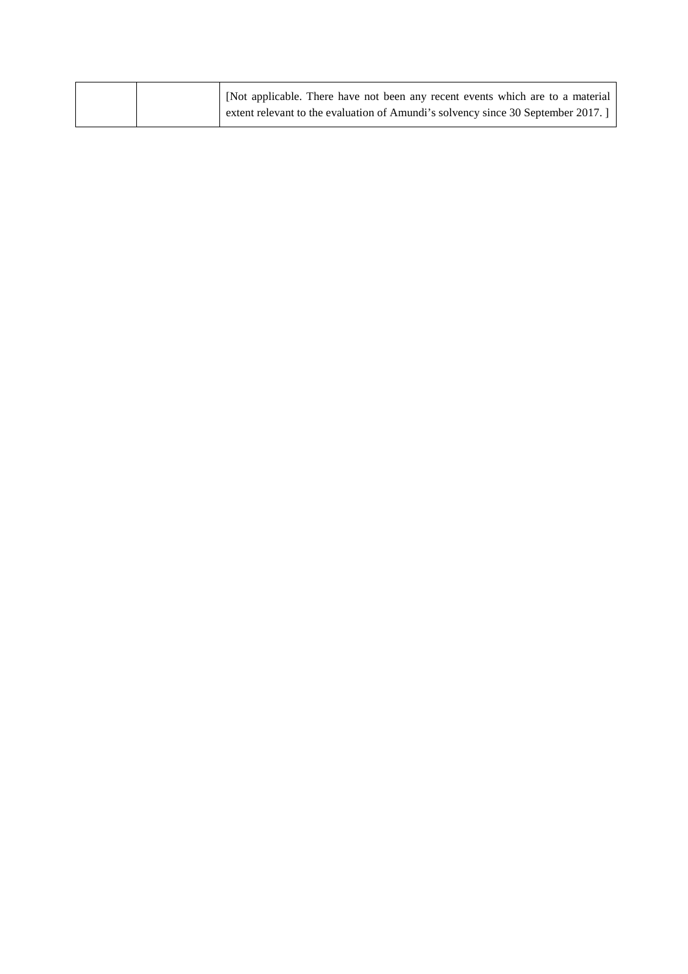| [Not applicable. There have not been any recent events which are to a material  |
|---------------------------------------------------------------------------------|
| extent relevant to the evaluation of Amundi's solvency since 30 September 2017. |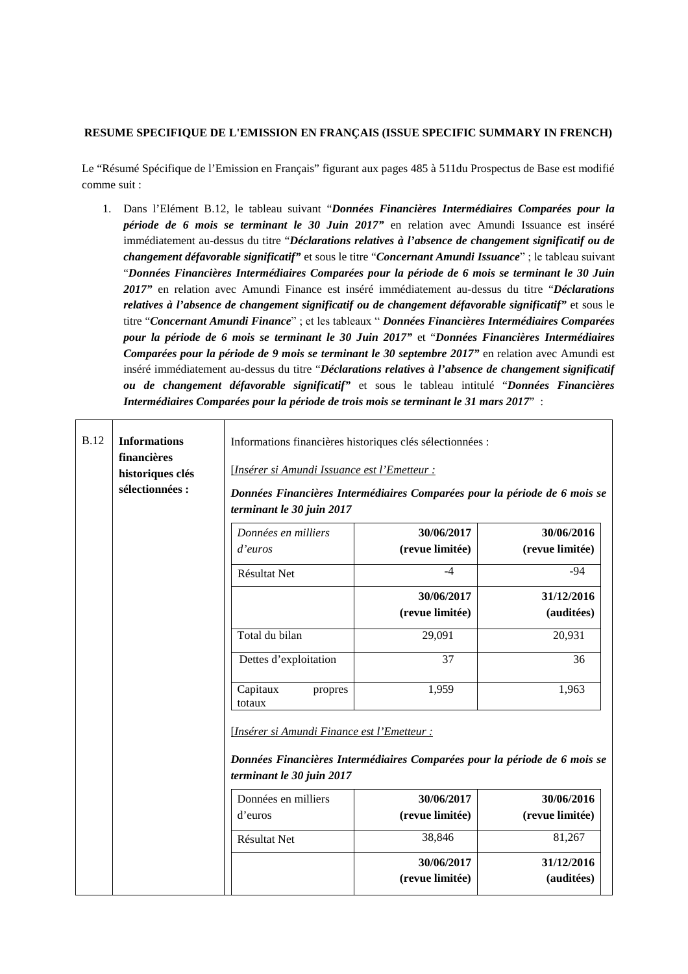### **RESUME SPECIFIQUE DE L'EMISSION EN FRANÇAIS (ISSUE SPECIFIC SUMMARY IN FRENCH)**

Le "Résumé Spécifique de l'Emission en Français" figurant aux pages 485 à 511du Prospectus de Base est modifié comme suit :

1. Dans l'Elément B.12, le tableau suivant "*Données Financières Intermédiaires Comparées pour la période de 6 mois se terminant le 30 Juin 2017"* en relation avec Amundi Issuance est inséré immédiatement au-dessus du titre "*Déclarations relatives à l'absence de changement significatif ou de changement défavorable significatif"* et sous le titre "*Concernant Amundi Issuance*" ; le tableau suivant "*Données Financières Intermédiaires Comparées pour la période de 6 mois se terminant le 30 Juin 2017"* en relation avec Amundi Finance est inséré immédiatement au-dessus du titre "*Déclarations relatives à l'absence de changement significatif ou de changement défavorable significatif"* et sous le titre "*Concernant Amundi Finance*" ; et les tableaux " *Données Financières Intermédiaires Comparées pour la période de 6 mois se terminant le 30 Juin 2017"* et "*Données Financières Intermédiaires Comparées pour la période de 9 mois se terminant le 30 septembre 2017"* en relation avec Amundi est inséré immédiatement au-dessus du titre "*Déclarations relatives à l'absence de changement significatif ou de changement défavorable significatif"* et sous le tableau intitulé "*Données Financières Intermédiaires Comparées pour la période de trois mois se terminant le 31 mars 2017*" :

| <b>B.12</b> | <b>Informations</b><br>financières<br>historiques clés<br>sélectionnées : | Informations financières historiques clés sélectionnées :<br>[Insérer si Amundi Issuance est l'Emetteur :<br>Données Financières Intermédiaires Comparées pour la période de 6 mois se |                                       |                                   |
|-------------|---------------------------------------------------------------------------|----------------------------------------------------------------------------------------------------------------------------------------------------------------------------------------|---------------------------------------|-----------------------------------|
|             |                                                                           | terminant le 30 juin 2017<br>Données en milliers<br>d'euros                                                                                                                            | 30/06/2017<br>(revue limitée)         | 30/06/2016<br>(revue limitée)     |
|             |                                                                           | <b>Résultat Net</b>                                                                                                                                                                    | $-4$<br>30/06/2017<br>(revue limitée) | $-94$<br>31/12/2016<br>(auditées) |
|             |                                                                           | Total du bilan                                                                                                                                                                         | 29,091                                | 20,931                            |
|             |                                                                           | Dettes d'exploitation                                                                                                                                                                  | 37                                    | 36                                |
|             |                                                                           | Capitaux<br>propres<br>totaux                                                                                                                                                          | 1,959                                 | 1,963                             |
|             |                                                                           | [Insérer si Amundi Finance est l'Emetteur :<br>Données Financières Intermédiaires Comparées pour la période de 6 mois se<br>terminant le 30 juin 2017                                  |                                       |                                   |
|             |                                                                           | Données en milliers                                                                                                                                                                    | 30/06/2017                            | 30/06/2016                        |
|             |                                                                           | d'euros                                                                                                                                                                                | (revue limitée)                       | (revue limitée)                   |
|             |                                                                           | Résultat Net                                                                                                                                                                           | 38,846                                | 81,267                            |
|             |                                                                           |                                                                                                                                                                                        | 30/06/2017<br>(revue limitée)         | 31/12/2016<br>(auditées)          |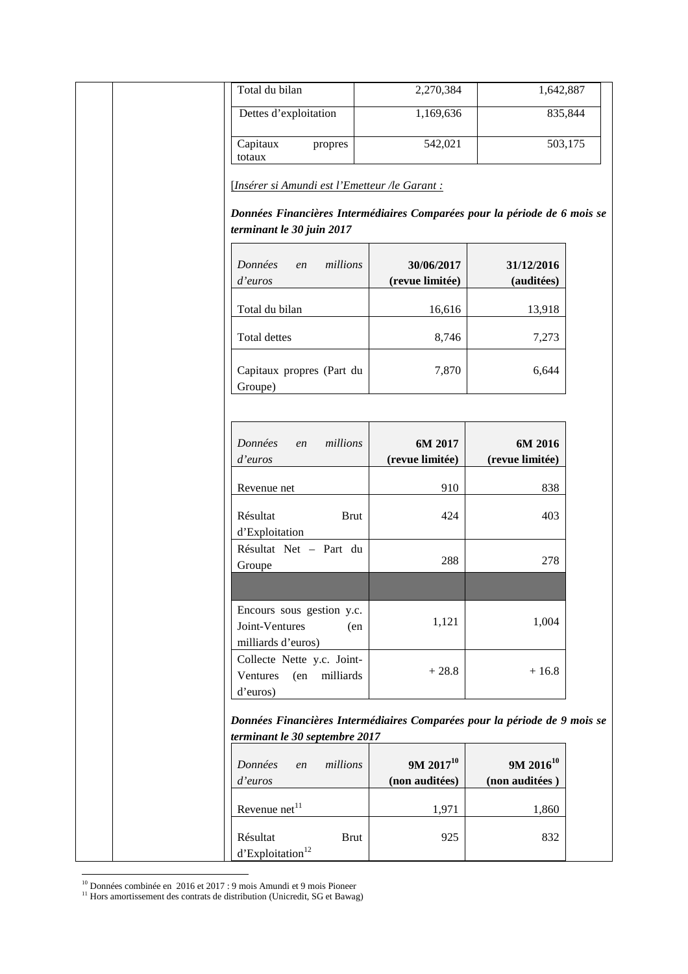| Total du bilan                                                                             | 2,270,384                                                                 | 1,642,887                        |
|--------------------------------------------------------------------------------------------|---------------------------------------------------------------------------|----------------------------------|
| Dettes d'exploitation                                                                      | 1,169,636                                                                 | 835,844                          |
| Capitaux<br>propres<br>totaux                                                              | 542,021                                                                   | 503,175                          |
| [Insérer si Amundi est l'Emetteur /le Garant :                                             |                                                                           |                                  |
| terminant le 30 juin 2017                                                                  | Données Financières Intermédiaires Comparées pour la période de 6 mois se |                                  |
| Données<br>en<br>d'euros                                                                   | millions<br>30/06/2017<br>(revue limitée)                                 | 31/12/2016<br>(auditées)         |
| Total du bilan                                                                             | 16,616                                                                    | 13,918                           |
| Total dettes                                                                               | 8,746                                                                     | 7,273                            |
| Capitaux propres (Part du<br>Groupe)                                                       | 7,870                                                                     | 6,644                            |
| Données<br>en                                                                              | millions<br>6M 2017                                                       | 6M 2016                          |
| d'euros                                                                                    | (revue limitée)                                                           | (revue limitée)                  |
| Revenue net                                                                                | 910                                                                       | 838                              |
| Résultat<br>d'Exploitation                                                                 | <b>Brut</b><br>424                                                        | 403                              |
| Résultat Net - Part du<br>Groupe                                                           | 288                                                                       | 278                              |
| Encours sous gestion y.c.<br>Joint-Ventures                                                | 1,121<br>(en                                                              | 1,004                            |
| milliards d'euros)<br>Collecte Nette y.c. Joint-<br>Ventures<br>(en milliards)<br>d'euros) | $+28.8$                                                                   | $+16.8$                          |
| terminant le 30 septembre 2017                                                             | Données Financières Intermédiaires Comparées pour la période de 9 mois se |                                  |
| Données<br>en<br>d'euros                                                                   | $9M 2017^{10}$<br>millions<br>(non auditées)                              | $9M 2016^{10}$<br>(non auditées) |
| Revenue net <sup>11</sup>                                                                  | 1,971                                                                     | 1,860                            |
|                                                                                            |                                                                           | 832                              |

<sup>&</sup>lt;sup>10</sup> Données combinée en 2016 et 2017 : 9 mois Amundi et 9 mois Pioneer

<sup>&</sup>lt;sup>11</sup> Hors amortissement des contrats de distribution (Unicredit, SG et Bawag)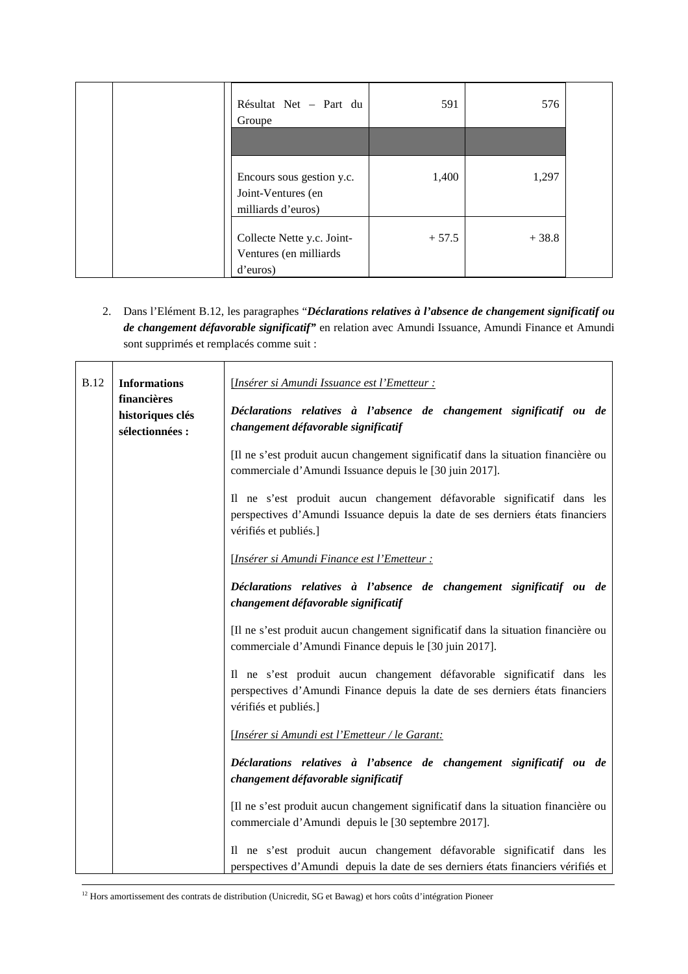| Résultat Net - Part du<br>Groupe                                      | 591     | 576     |  |
|-----------------------------------------------------------------------|---------|---------|--|
|                                                                       |         |         |  |
| Encours sous gestion y.c.<br>Joint-Ventures (en<br>milliards d'euros) | 1,400   | 1,297   |  |
| Collecte Nette y.c. Joint-<br>Ventures (en milliards<br>d'euros)      | $+57.5$ | $+38.8$ |  |

2. Dans l'Elément B.12, les paragraphes "*Déclarations relatives à l'absence de changement significatif ou de changement défavorable significatif"* en relation avec Amundi Issuance, Amundi Finance et Amundi sont supprimés et remplacés comme suit :

| <b>B.12</b> | <b>Informations</b><br>financières<br>historiques clés<br>sélectionnées : | [Insérer si Amundi Issuance est l'Emetteur :<br>Déclarations relatives à l'absence de changement significatif ou de<br>changement défavorable significatif                        |
|-------------|---------------------------------------------------------------------------|-----------------------------------------------------------------------------------------------------------------------------------------------------------------------------------|
|             |                                                                           | [Il ne s'est produit aucun changement significatif dans la situation financière ou<br>commerciale d'Amundi Issuance depuis le [30 juin 2017].                                     |
|             |                                                                           | Il ne s'est produit aucun changement défavorable significatif dans les<br>perspectives d'Amundi Issuance depuis la date de ses derniers états financiers<br>vérifiés et publiés.] |
|             |                                                                           | [Insérer si Amundi Finance est l'Emetteur :                                                                                                                                       |
|             |                                                                           | Déclarations relatives à l'absence de changement significatif ou de<br>changement défavorable significatif                                                                        |
|             |                                                                           | [Il ne s'est produit aucun changement significatif dans la situation financière ou<br>commerciale d'Amundi Finance depuis le [30 juin 2017].                                      |
|             |                                                                           | Il ne s'est produit aucun changement défavorable significatif dans les<br>perspectives d'Amundi Finance depuis la date de ses derniers états financiers<br>vérifiés et publiés.]  |
|             |                                                                           | [Insérer si Amundi est l'Emetteur / le Garant:                                                                                                                                    |
|             |                                                                           | Déclarations relatives à l'absence de changement significatif ou de<br>changement défavorable significatif                                                                        |
|             |                                                                           | [Il ne s'est produit aucun changement significatif dans la situation financière ou<br>commerciale d'Amundi depuis le [30 septembre 2017].                                         |
|             |                                                                           | Il ne s'est produit aucun changement défavorable significatif dans les<br>perspectives d'Amundi depuis la date de ses derniers états financiers vérifiés et                       |

 $12$  Hors amortissement des contrats de distribution (Unicredit, SG et Bawag) et hors coûts d'intégration Pioneer

l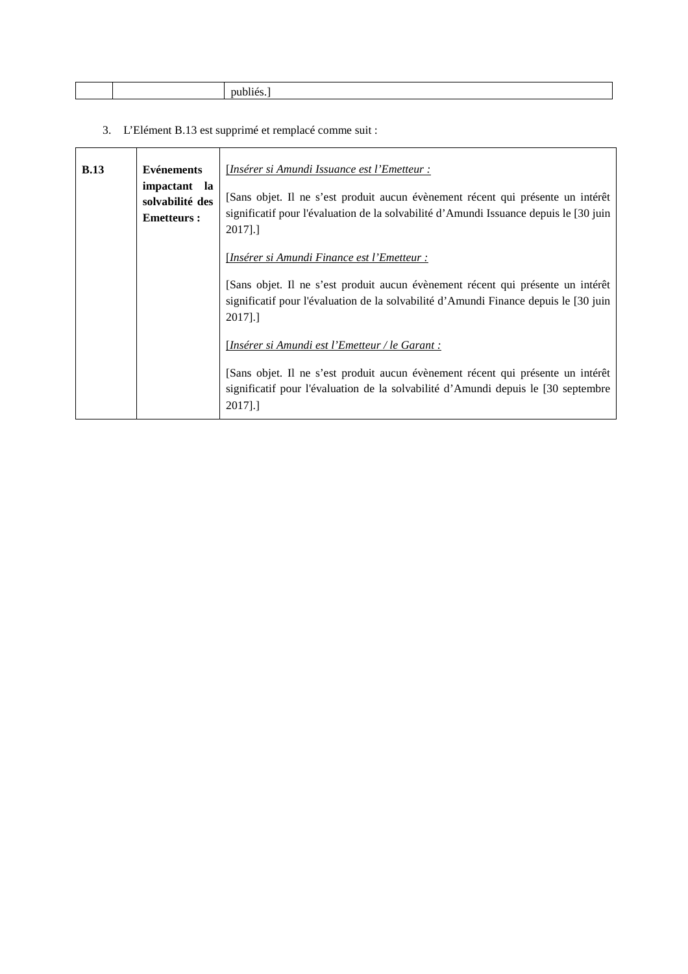3. L'Elément B.13 est supprimé et remplacé comme suit :

| <b>B.13</b> | <b>Evénements</b><br>impactant la<br>solvabilité des<br><b>Emetteurs:</b> | [Insérer si Amundi Issuance est l'Emetteur :<br>[Sans objet. Il ne s'est produit aucun évènement récent qui présente un intérêt<br>significatif pour l'évaluation de la solvabilité d'Amundi Issuance depuis le [30 juin<br>2017].] |
|-------------|---------------------------------------------------------------------------|-------------------------------------------------------------------------------------------------------------------------------------------------------------------------------------------------------------------------------------|
|             |                                                                           | [Insérer si Amundi Finance est l'Emetteur :<br>[Sans objet. Il ne s'est produit aucun évènement récent qui présente un intérêt<br>significatif pour l'évaluation de la solvabilité d'Amundi Finance depuis le [30 juin<br>2017].]   |
|             |                                                                           | [Insérer si Amundi est l'Emetteur / le Garant :<br>[Sans objet. Il ne s'est produit aucun évènement récent qui présente un intérêt<br>significatif pour l'évaluation de la solvabilité d'Amundi depuis le [30 septembre<br>2017].]  |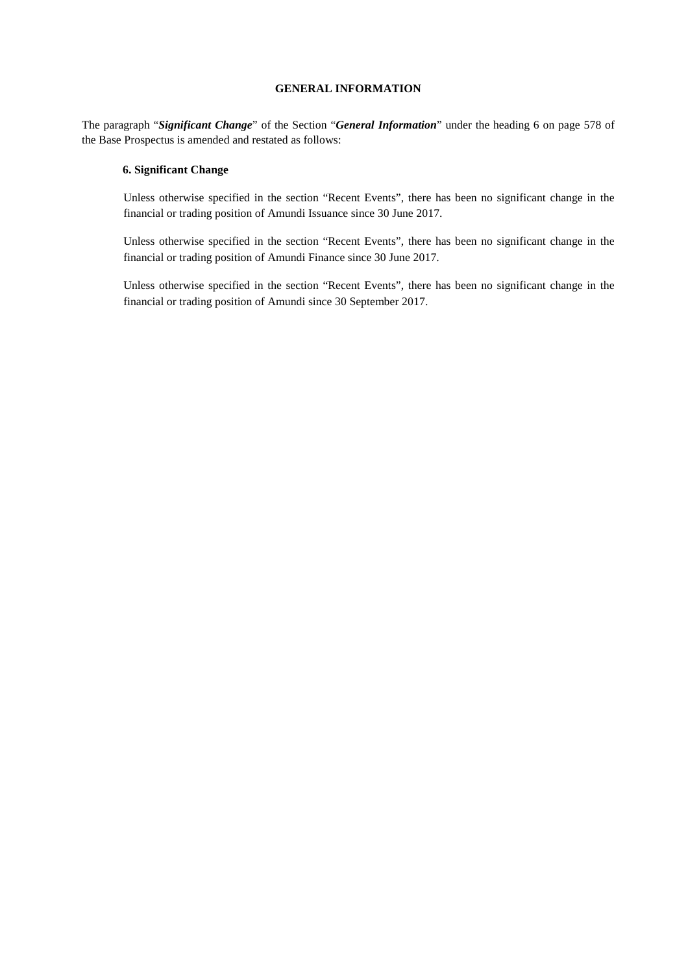### **GENERAL INFORMATION**

The paragraph "*Significant Change*" of the Section "*General Information*" under the heading 6 on page 578 of the Base Prospectus is amended and restated as follows:

### **6. Significant Change**

Unless otherwise specified in the section "Recent Events", there has been no significant change in the financial or trading position of Amundi Issuance since 30 June 2017.

Unless otherwise specified in the section "Recent Events", there has been no significant change in the financial or trading position of Amundi Finance since 30 June 2017.

Unless otherwise specified in the section "Recent Events", there has been no significant change in the financial or trading position of Amundi since 30 September 2017.